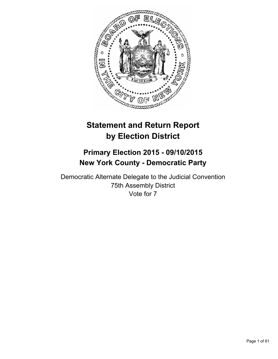

# **Statement and Return Report by Election District**

## **Primary Election 2015 - 09/10/2015 New York County - Democratic Party**

Democratic Alternate Delegate to the Judicial Convention 75th Assembly District Vote for 7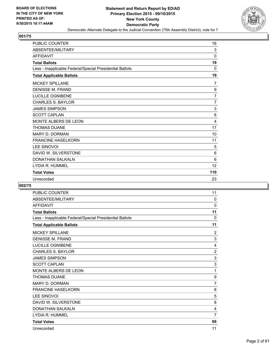

| <b>PUBLIC COUNTER</b>                                    | 16           |
|----------------------------------------------------------|--------------|
| ABSENTEE/MILITARY                                        | 3            |
| <b>AFFIDAVIT</b>                                         | $\mathbf{0}$ |
| <b>Total Ballots</b>                                     | 19           |
| Less - Inapplicable Federal/Special Presidential Ballots | $\Omega$     |
| <b>Total Applicable Ballots</b>                          | 19           |
| <b>MICKEY SPILLANE</b>                                   | 7            |
| <b>DENISSE M. FRAND</b>                                  | 9            |
| <b>LUCILLE OGNIBENE</b>                                  | 7            |
| <b>CHARLES S. BAYLOR</b>                                 | 7            |
| <b>JAMES SIMPSON</b>                                     | 3            |
| <b>SCOTT CAPLAN</b>                                      | 6            |
| MONTE ALBERS DE LEON                                     | 4            |
| <b>THOMAS DUANE</b>                                      | 17           |
| <b>MARY D. DORMAN</b>                                    | 10           |
| <b>FRANCINE HASELKORN</b>                                | 11           |
| <b>LEE SINOVOI</b>                                       | 5            |
| DAVID W. SILVERSTONE                                     | 6            |
| <b>DONATHAN SALKALN</b>                                  | 6            |
| LYDIA R. HUMMEL                                          | 12           |
| <b>Total Votes</b>                                       | 110          |
| Unrecorded                                               | 23           |

| <b>PUBLIC COUNTER</b>                                    | 11             |
|----------------------------------------------------------|----------------|
| ABSENTEE/MILITARY                                        | 0              |
| <b>AFFIDAVIT</b>                                         | 0              |
| <b>Total Ballots</b>                                     | 11             |
| Less - Inapplicable Federal/Special Presidential Ballots | $\mathbf{0}$   |
| <b>Total Applicable Ballots</b>                          | 11             |
| <b>MICKEY SPILLANE</b>                                   | 2              |
| <b>DENISSE M. FRAND</b>                                  | 3              |
| <b>LUCILLE OGNIBENE</b>                                  | $\overline{4}$ |
| <b>CHARLES S. BAYLOR</b>                                 | $\overline{2}$ |
| <b>JAMES SIMPSON</b>                                     | 3              |
| <b>SCOTT CAPLAN</b>                                      | 3              |
| MONTE ALBERS DE LEON                                     | 1              |
| <b>THOMAS DUANE</b>                                      | 9              |
| <b>MARY D. DORMAN</b>                                    | 7              |
| <b>FRANCINE HASELKORN</b>                                | 8              |
| <b>LEE SINOVOI</b>                                       | 5              |
| DAVID W. SILVERSTONE                                     | 8              |
| <b>DONATHAN SALKALN</b>                                  | 4              |
| LYDIA R. HUMMEL                                          | $\overline{7}$ |
| <b>Total Votes</b>                                       | 66             |
| Unrecorded                                               | 11             |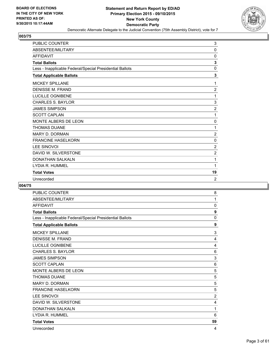

| <b>PUBLIC COUNTER</b>                                    | 3              |
|----------------------------------------------------------|----------------|
| ABSENTEE/MILITARY                                        | $\Omega$       |
| <b>AFFIDAVIT</b>                                         | 0              |
| <b>Total Ballots</b>                                     | 3              |
| Less - Inapplicable Federal/Special Presidential Ballots | $\mathbf{0}$   |
| <b>Total Applicable Ballots</b>                          | 3              |
| <b>MICKEY SPILLANE</b>                                   | 1              |
| <b>DENISSE M. FRAND</b>                                  | $\overline{2}$ |
| <b>LUCILLE OGNIBENE</b>                                  | 1              |
| <b>CHARLES S. BAYLOR</b>                                 | 3              |
| <b>JAMES SIMPSON</b>                                     | $\overline{c}$ |
| <b>SCOTT CAPLAN</b>                                      | 1              |
| MONTE ALBERS DE LEON                                     | 0              |
| <b>THOMAS DUANE</b>                                      | 1              |
| <b>MARY D. DORMAN</b>                                    | $\overline{c}$ |
| <b>FRANCINE HASELKORN</b>                                | 0              |
| LEE SINOVOI                                              | $\overline{c}$ |
| DAVID W. SILVERSTONE                                     | $\overline{2}$ |
| <b>DONATHAN SALKALN</b>                                  | 1              |
| LYDIA R. HUMMEL                                          | 1              |
| <b>Total Votes</b>                                       | 19             |
| Unrecorded                                               | $\overline{2}$ |

| <b>PUBLIC COUNTER</b>                                    | 8              |
|----------------------------------------------------------|----------------|
| ABSENTEE/MILITARY                                        | 1              |
| <b>AFFIDAVIT</b>                                         | 0              |
| <b>Total Ballots</b>                                     | 9              |
| Less - Inapplicable Federal/Special Presidential Ballots | 0              |
| <b>Total Applicable Ballots</b>                          | 9              |
| <b>MICKEY SPILLANE</b>                                   | 3              |
| <b>DENISSE M. FRAND</b>                                  | 4              |
| LUCILLE OGNIBENE                                         | 4              |
| <b>CHARLES S. BAYLOR</b>                                 | 6              |
| <b>JAMES SIMPSON</b>                                     | 3              |
| <b>SCOTT CAPLAN</b>                                      | 6              |
| MONTE ALBERS DE LEON                                     | 5              |
| <b>THOMAS DUANE</b>                                      | 5              |
| <b>MARY D. DORMAN</b>                                    | 5              |
| <b>FRANCINE HASELKORN</b>                                | 5              |
| <b>LEE SINOVOI</b>                                       | $\overline{2}$ |
| DAVID W. SILVERSTONE                                     | 4              |
| <b>DONATHAN SALKALN</b>                                  | 1              |
| LYDIA R. HUMMEL                                          | 6              |
| <b>Total Votes</b>                                       | 59             |
| Unrecorded                                               | 4              |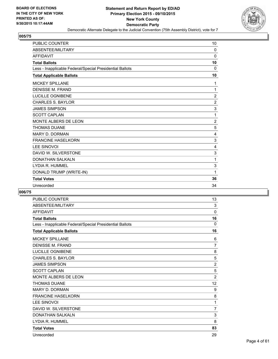

| <b>PUBLIC COUNTER</b>                                    | 10             |
|----------------------------------------------------------|----------------|
| ABSENTEE/MILITARY                                        | $\Omega$       |
| <b>AFFIDAVIT</b>                                         | $\Omega$       |
| <b>Total Ballots</b>                                     | 10             |
| Less - Inapplicable Federal/Special Presidential Ballots | $\Omega$       |
| <b>Total Applicable Ballots</b>                          | 10             |
| <b>MICKEY SPILLANE</b>                                   | 1              |
| <b>DENISSE M. FRAND</b>                                  | 1              |
| <b>LUCILLE OGNIBENE</b>                                  | $\overline{2}$ |
| <b>CHARLES S. BAYLOR</b>                                 | $\overline{2}$ |
| <b>JAMES SIMPSON</b>                                     | 3              |
| <b>SCOTT CAPLAN</b>                                      | 1              |
| <b>MONTE ALBERS DE LEON</b>                              | $\overline{2}$ |
| <b>THOMAS DUANE</b>                                      | 5              |
| <b>MARY D. DORMAN</b>                                    | 4              |
| <b>FRANCINE HASELKORN</b>                                | 3              |
| LEE SINOVOI                                              | 4              |
| DAVID W. SILVERSTONE                                     | 3              |
| <b>DONATHAN SALKALN</b>                                  | 1              |
| LYDIA R. HUMMEL                                          | 3              |
| DONALD TRUMP (WRITE-IN)                                  | 1              |
| <b>Total Votes</b>                                       | 36             |
| Unrecorded                                               | 34             |

| <b>PUBLIC COUNTER</b>                                    | 13             |
|----------------------------------------------------------|----------------|
| ABSENTEE/MILITARY                                        | 3              |
| <b>AFFIDAVIT</b>                                         | 0              |
| <b>Total Ballots</b>                                     | 16             |
| Less - Inapplicable Federal/Special Presidential Ballots | $\Omega$       |
| <b>Total Applicable Ballots</b>                          | 16             |
| <b>MICKEY SPILLANE</b>                                   | 6              |
| <b>DENISSE M. FRAND</b>                                  | 7              |
| <b>LUCILLE OGNIBENE</b>                                  | 8              |
| <b>CHARLES S. BAYLOR</b>                                 | 5              |
| <b>JAMES SIMPSON</b>                                     | $\overline{2}$ |
| <b>SCOTT CAPLAN</b>                                      | 5              |
| MONTE ALBERS DE LEON                                     | $\overline{2}$ |
| <b>THOMAS DUANE</b>                                      | 12             |
| <b>MARY D. DORMAN</b>                                    | 9              |
| <b>FRANCINE HASELKORN</b>                                | 8              |
| <b>LEE SINOVOI</b>                                       | 1              |
| DAVID W. SILVERSTONE                                     | $\overline{7}$ |
| <b>DONATHAN SALKALN</b>                                  | 3              |
| LYDIA R. HUMMEL                                          | 8              |
| <b>Total Votes</b>                                       | 83             |
| Unrecorded                                               | 29             |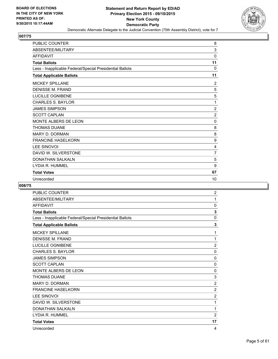

| <b>PUBLIC COUNTER</b>                                    | 8              |
|----------------------------------------------------------|----------------|
| ABSENTEE/MILITARY                                        | 3              |
| <b>AFFIDAVIT</b>                                         | 0              |
| <b>Total Ballots</b>                                     | 11             |
| Less - Inapplicable Federal/Special Presidential Ballots | $\Omega$       |
| <b>Total Applicable Ballots</b>                          | 11             |
| <b>MICKEY SPILLANE</b>                                   | 2              |
| <b>DENISSE M. FRAND</b>                                  | 5              |
| <b>LUCILLE OGNIBENE</b>                                  | 5              |
| <b>CHARLES S. BAYLOR</b>                                 | 1              |
| <b>JAMES SIMPSON</b>                                     | $\overline{2}$ |
| <b>SCOTT CAPLAN</b>                                      | $\overline{2}$ |
| MONTE ALBERS DE LEON                                     | 0              |
| <b>THOMAS DUANE</b>                                      | 8              |
| <b>MARY D. DORMAN</b>                                    | 8              |
| <b>FRANCINE HASELKORN</b>                                | 9              |
| <b>LEE SINOVOI</b>                                       | 4              |
| DAVID W. SILVERSTONE                                     | 7              |
| <b>DONATHAN SALKALN</b>                                  | 5              |
| LYDIA R. HUMMEL                                          | 9              |
| <b>Total Votes</b>                                       | 67             |
| Unrecorded                                               | 10             |

| <b>PUBLIC COUNTER</b>                                    | $\overline{2}$ |
|----------------------------------------------------------|----------------|
| ABSENTEE/MILITARY                                        | 1              |
| <b>AFFIDAVIT</b>                                         | 0              |
| <b>Total Ballots</b>                                     | 3              |
| Less - Inapplicable Federal/Special Presidential Ballots | 0              |
| <b>Total Applicable Ballots</b>                          | 3              |
| <b>MICKEY SPILLANE</b>                                   | 1              |
| <b>DENISSE M. FRAND</b>                                  | 1              |
| LUCILLE OGNIBENE                                         | $\overline{2}$ |
| <b>CHARLES S. BAYLOR</b>                                 | 0              |
| <b>JAMES SIMPSON</b>                                     | 0              |
| <b>SCOTT CAPLAN</b>                                      | 0              |
| MONTE ALBERS DE LEON                                     | 0              |
| <b>THOMAS DUANE</b>                                      | 3              |
| <b>MARY D. DORMAN</b>                                    | $\overline{2}$ |
| <b>FRANCINE HASELKORN</b>                                | $\overline{2}$ |
| <b>LEE SINOVOI</b>                                       | $\overline{c}$ |
| DAVID W. SILVERSTONE                                     | 1              |
| <b>DONATHAN SALKALN</b>                                  | 1              |
| LYDIA R. HUMMEL                                          | $\overline{2}$ |
| <b>Total Votes</b>                                       | 17             |
| Unrecorded                                               | 4              |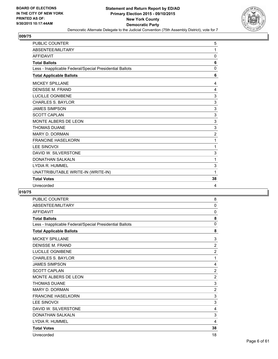

| <b>PUBLIC COUNTER</b>                                    | 5              |
|----------------------------------------------------------|----------------|
| ABSENTEE/MILITARY                                        | 1              |
| <b>AFFIDAVIT</b>                                         | 0              |
| <b>Total Ballots</b>                                     | 6              |
| Less - Inapplicable Federal/Special Presidential Ballots | 0              |
| <b>Total Applicable Ballots</b>                          | 6              |
| <b>MICKEY SPILLANE</b>                                   | 4              |
| <b>DENISSE M. FRAND</b>                                  | 4              |
| <b>LUCILLE OGNIBENE</b>                                  | 3              |
| <b>CHARLES S. BAYLOR</b>                                 | 3              |
| <b>JAMES SIMPSON</b>                                     | 3              |
| <b>SCOTT CAPLAN</b>                                      | 3              |
| <b>MONTE ALBERS DE LEON</b>                              | 3              |
| <b>THOMAS DUANE</b>                                      | 3              |
| <b>MARY D. DORMAN</b>                                    | $\overline{2}$ |
| <b>FRANCINE HASELKORN</b>                                | 1              |
| <b>LEE SINOVOI</b>                                       | 1              |
| DAVID W. SILVERSTONE                                     | 3              |
| <b>DONATHAN SALKALN</b>                                  | 1              |
| LYDIA R. HUMMEL                                          | 3              |
| UNATTRIBUTABLE WRITE-IN (WRITE-IN)                       | 1              |
| <b>Total Votes</b>                                       | 38             |
| Unrecorded                                               | 4              |

| <b>PUBLIC COUNTER</b>                                    | 8              |
|----------------------------------------------------------|----------------|
| ABSENTEE/MILITARY                                        | 0              |
| <b>AFFIDAVIT</b>                                         | $\mathbf 0$    |
| <b>Total Ballots</b>                                     | 8              |
| Less - Inapplicable Federal/Special Presidential Ballots | $\mathbf{0}$   |
| <b>Total Applicable Ballots</b>                          | 8              |
| <b>MICKEY SPILLANE</b>                                   | 3              |
| <b>DENISSE M. FRAND</b>                                  | $\overline{2}$ |
| LUCILLE OGNIBENE                                         | $\overline{2}$ |
| <b>CHARLES S. BAYLOR</b>                                 | 1              |
| <b>JAMES SIMPSON</b>                                     | 4              |
| <b>SCOTT CAPLAN</b>                                      | $\overline{2}$ |
| MONTE ALBERS DE LEON                                     | $\overline{2}$ |
| <b>THOMAS DUANE</b>                                      | 3              |
| <b>MARY D. DORMAN</b>                                    | $\overline{2}$ |
| <b>FRANCINE HASELKORN</b>                                | 3              |
| <b>LEE SINOVOI</b>                                       | 3              |
| DAVID W. SILVERSTONE                                     | 4              |
| <b>DONATHAN SALKALN</b>                                  | 3              |
| LYDIA R. HUMMEL                                          | 4              |
| <b>Total Votes</b>                                       | 38             |
| Unrecorded                                               | 18             |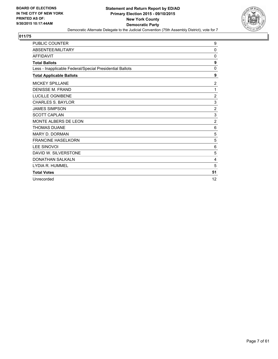

| <b>PUBLIC COUNTER</b>                                    | 9              |
|----------------------------------------------------------|----------------|
| ABSENTEE/MILITARY                                        | $\mathbf 0$    |
| <b>AFFIDAVIT</b>                                         | 0              |
| <b>Total Ballots</b>                                     | 9              |
| Less - Inapplicable Federal/Special Presidential Ballots | $\Omega$       |
| <b>Total Applicable Ballots</b>                          | 9              |
| <b>MICKEY SPILLANE</b>                                   | $\overline{2}$ |
| <b>DENISSE M. FRAND</b>                                  | 1              |
| <b>LUCILLE OGNIBENE</b>                                  | $\overline{2}$ |
| <b>CHARLES S. BAYLOR</b>                                 | 3              |
| <b>JAMES SIMPSON</b>                                     | $\overline{2}$ |
| <b>SCOTT CAPLAN</b>                                      | 3              |
| <b>MONTE ALBERS DE LEON</b>                              | $\overline{2}$ |
| <b>THOMAS DUANE</b>                                      | 6              |
| <b>MARY D. DORMAN</b>                                    | 5              |
| <b>FRANCINE HASELKORN</b>                                | 5              |
| <b>LEE SINOVOI</b>                                       | 6              |
| DAVID W. SILVERSTONE                                     | 5              |
| <b>DONATHAN SALKALN</b>                                  | 4              |
| LYDIA R. HUMMEL                                          | 5              |
| <b>Total Votes</b>                                       | 51             |
| Unrecorded                                               | 12             |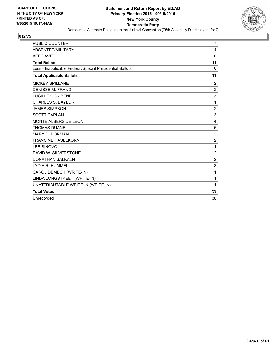

| <b>PUBLIC COUNTER</b>                                    | 7              |
|----------------------------------------------------------|----------------|
| ABSENTEE/MILITARY                                        | 4              |
| <b>AFFIDAVIT</b>                                         | $\Omega$       |
| <b>Total Ballots</b>                                     | 11             |
| Less - Inapplicable Federal/Special Presidential Ballots | 0              |
| <b>Total Applicable Ballots</b>                          | 11             |
| <b>MICKEY SPILLANE</b>                                   | $\overline{2}$ |
| <b>DENISSE M. FRAND</b>                                  | $\overline{2}$ |
| <b>LUCILLE OGNIBENE</b>                                  | 3              |
| <b>CHARLES S. BAYLOR</b>                                 | 1              |
| <b>JAMES SIMPSON</b>                                     | $\overline{2}$ |
| <b>SCOTT CAPLAN</b>                                      | 3              |
| MONTE ALBERS DE LEON                                     | 4              |
| <b>THOMAS DUANE</b>                                      | 6              |
| <b>MARY D. DORMAN</b>                                    | 3              |
| <b>FRANCINE HASELKORN</b>                                | $\overline{2}$ |
| <b>LEE SINOVOI</b>                                       | 1              |
| DAVID W. SILVERSTONE                                     | $\overline{2}$ |
| <b>DONATHAN SALKALN</b>                                  | $\overline{2}$ |
| LYDIA R. HUMMEL                                          | 3              |
| CAROL DEMECH (WRITE-IN)                                  | 1              |
| LINDA LONGSTREET (WRITE-IN)                              | 1              |
| UNATTRIBUTABLE WRITE-IN (WRITE-IN)                       | 1              |
| <b>Total Votes</b>                                       | 39             |
| Unrecorded                                               | 38             |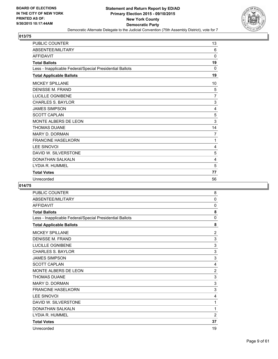

| <b>PUBLIC COUNTER</b>                                    | 13             |
|----------------------------------------------------------|----------------|
| ABSENTEE/MILITARY                                        | 6              |
| <b>AFFIDAVIT</b>                                         | $\Omega$       |
| <b>Total Ballots</b>                                     | 19             |
| Less - Inapplicable Federal/Special Presidential Ballots | $\Omega$       |
| <b>Total Applicable Ballots</b>                          | 19             |
| <b>MICKEY SPILLANE</b>                                   | 10             |
| <b>DENISSE M. FRAND</b>                                  | 5              |
| <b>LUCILLE OGNIBENE</b>                                  | $\overline{7}$ |
| <b>CHARLES S. BAYLOR</b>                                 | 3              |
| <b>JAMES SIMPSON</b>                                     | 4              |
| <b>SCOTT CAPLAN</b>                                      | 5              |
| MONTE ALBERS DE LEON                                     | 3              |
| <b>THOMAS DUANE</b>                                      | 14             |
| <b>MARY D. DORMAN</b>                                    | 7              |
| <b>FRANCINE HASELKORN</b>                                | 1              |
| <b>LEE SINOVOI</b>                                       | 4              |
| DAVID W. SILVERSTONE                                     | 5              |
| DONATHAN SALKALN                                         | 4              |
| LYDIA R. HUMMEL                                          | 5              |
| <b>Total Votes</b>                                       | 77             |
| Unrecorded                                               | 56             |

| <b>PUBLIC COUNTER</b>                                    | 8              |
|----------------------------------------------------------|----------------|
| ABSENTEE/MILITARY                                        | 0              |
| <b>AFFIDAVIT</b>                                         | 0              |
| <b>Total Ballots</b>                                     | 8              |
| Less - Inapplicable Federal/Special Presidential Ballots | $\mathbf{0}$   |
| <b>Total Applicable Ballots</b>                          | 8              |
| <b>MICKEY SPILLANE</b>                                   | 2              |
| <b>DENISSE M. FRAND</b>                                  | 3              |
| LUCILLE OGNIBENE                                         | 3              |
| <b>CHARLES S. BAYLOR</b>                                 | 3              |
| <b>JAMES SIMPSON</b>                                     | 3              |
| <b>SCOTT CAPLAN</b>                                      | 4              |
| MONTE ALBERS DE LEON                                     | $\overline{2}$ |
| <b>THOMAS DUANE</b>                                      | 3              |
| <b>MARY D. DORMAN</b>                                    | 3              |
| <b>FRANCINE HASELKORN</b>                                | 3              |
| <b>LEE SINOVOI</b>                                       | 4              |
| DAVID W. SILVERSTONE                                     | 1              |
| <b>DONATHAN SALKALN</b>                                  | 1              |
| LYDIA R. HUMMEL                                          | $\overline{2}$ |
| <b>Total Votes</b>                                       | 37             |
| Unrecorded                                               | 19             |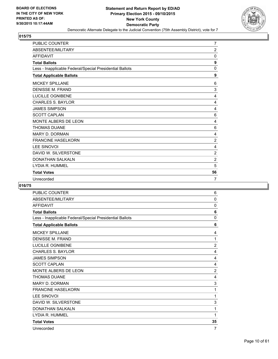

| <b>PUBLIC COUNTER</b>                                    | $\overline{7}$ |
|----------------------------------------------------------|----------------|
| ABSENTEE/MILITARY                                        | $\overline{2}$ |
| <b>AFFIDAVIT</b>                                         | $\Omega$       |
| <b>Total Ballots</b>                                     | 9              |
| Less - Inapplicable Federal/Special Presidential Ballots | $\Omega$       |
| <b>Total Applicable Ballots</b>                          | 9              |
| <b>MICKEY SPILLANE</b>                                   | 6              |
| <b>DENISSE M. FRAND</b>                                  | 3              |
| LUCILLE OGNIBENE                                         | 4              |
| <b>CHARLES S. BAYLOR</b>                                 | 4              |
| <b>JAMES SIMPSON</b>                                     | 4              |
| <b>SCOTT CAPLAN</b>                                      | 6              |
| MONTE ALBERS DE LEON                                     | 4              |
| <b>THOMAS DUANE</b>                                      | 6              |
| <b>MARY D. DORMAN</b>                                    | 4              |
| <b>FRANCINE HASELKORN</b>                                | $\overline{2}$ |
| <b>LEE SINOVOI</b>                                       | 4              |
| DAVID W. SILVERSTONE                                     | $\overline{2}$ |
| <b>DONATHAN SALKALN</b>                                  | $\overline{2}$ |
| LYDIA R. HUMMEL                                          | 5              |
| <b>Total Votes</b>                                       | 56             |
| Unrecorded                                               | 7              |

| <b>PUBLIC COUNTER</b>                                    | 6              |
|----------------------------------------------------------|----------------|
| ABSENTEE/MILITARY                                        | 0              |
| <b>AFFIDAVIT</b>                                         | $\Omega$       |
| <b>Total Ballots</b>                                     | 6              |
| Less - Inapplicable Federal/Special Presidential Ballots | 0              |
| <b>Total Applicable Ballots</b>                          | 6              |
| <b>MICKEY SPILLANE</b>                                   | 4              |
| <b>DENISSE M. FRAND</b>                                  | 1              |
| <b>LUCILLE OGNIBENE</b>                                  | $\overline{c}$ |
| <b>CHARLES S. BAYLOR</b>                                 | 4              |
| <b>JAMES SIMPSON</b>                                     | 4              |
| <b>SCOTT CAPLAN</b>                                      | 4              |
| MONTE ALBERS DE LEON                                     | $\overline{c}$ |
| <b>THOMAS DUANE</b>                                      | 4              |
| <b>MARY D. DORMAN</b>                                    | 3              |
| <b>FRANCINE HASELKORN</b>                                | 1              |
| <b>LEE SINOVOI</b>                                       | 1              |
| DAVID W. SILVERSTONE                                     | 3              |
| <b>DONATHAN SALKALN</b>                                  | 1              |
| LYDIA R. HUMMEL                                          | 1              |
| <b>Total Votes</b>                                       | 35             |
| Unrecorded                                               | 7              |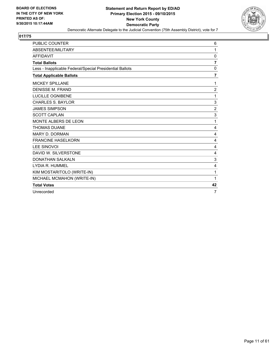

| <b>PUBLIC COUNTER</b>                                    | 6              |
|----------------------------------------------------------|----------------|
| ABSENTEE/MILITARY                                        | 1              |
| <b>AFFIDAVIT</b>                                         | 0              |
| <b>Total Ballots</b>                                     | $\overline{7}$ |
| Less - Inapplicable Federal/Special Presidential Ballots | 0              |
| <b>Total Applicable Ballots</b>                          | $\overline{7}$ |
| <b>MICKEY SPILLANE</b>                                   | 1              |
| <b>DENISSE M. FRAND</b>                                  | 2              |
| <b>LUCILLE OGNIBENE</b>                                  | 1              |
| <b>CHARLES S. BAYLOR</b>                                 | 3              |
| <b>JAMES SIMPSON</b>                                     | $\overline{2}$ |
| <b>SCOTT CAPLAN</b>                                      | 3              |
| MONTE ALBERS DE LEON                                     | 1              |
| <b>THOMAS DUANE</b>                                      | 4              |
| <b>MARY D. DORMAN</b>                                    | 4              |
| <b>FRANCINE HASELKORN</b>                                | 4              |
| <b>LEE SINOVOI</b>                                       | 4              |
| DAVID W. SILVERSTONE                                     | 4              |
| <b>DONATHAN SALKALN</b>                                  | 3              |
| LYDIA R. HUMMEL                                          | 4              |
| KIM MOSTARITOLO (WRITE-IN)                               | 1              |
| MICHAEL MCMAHON (WRITE-IN)                               | 1              |
| <b>Total Votes</b>                                       | 42             |
| Unrecorded                                               | $\overline{7}$ |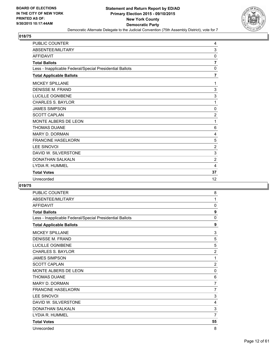

| PUBLIC COUNTER                                           | 4              |
|----------------------------------------------------------|----------------|
| ABSENTEE/MILITARY                                        | 3              |
| <b>AFFIDAVIT</b>                                         | 0              |
| <b>Total Ballots</b>                                     | $\overline{7}$ |
| Less - Inapplicable Federal/Special Presidential Ballots | 0              |
| <b>Total Applicable Ballots</b>                          | $\overline{7}$ |
| <b>MICKEY SPILLANE</b>                                   | 1              |
| <b>DENISSE M. FRAND</b>                                  | 3              |
| LUCILLE OGNIBENE                                         | 3              |
| <b>CHARLES S. BAYLOR</b>                                 | 1              |
| <b>JAMES SIMPSON</b>                                     | 0              |
| <b>SCOTT CAPLAN</b>                                      | $\overline{2}$ |
| MONTE ALBERS DE LEON                                     | 1              |
| <b>THOMAS DUANE</b>                                      | 6              |
| <b>MARY D. DORMAN</b>                                    | 4              |
| <b>FRANCINE HASELKORN</b>                                | 5              |
| <b>LEE SINOVOI</b>                                       | $\overline{2}$ |
| DAVID W. SILVERSTONE                                     | 3              |
| <b>DONATHAN SALKALN</b>                                  | $\overline{2}$ |
| LYDIA R. HUMMEL                                          | 4              |
| <b>Total Votes</b>                                       | 37             |
| Unrecorded                                               | 12             |

| <b>PUBLIC COUNTER</b>                                    | 8              |
|----------------------------------------------------------|----------------|
| ABSENTEE/MILITARY                                        | 1              |
| <b>AFFIDAVIT</b>                                         | 0              |
| <b>Total Ballots</b>                                     | 9              |
| Less - Inapplicable Federal/Special Presidential Ballots | $\mathbf{0}$   |
| <b>Total Applicable Ballots</b>                          | 9              |
| <b>MICKEY SPILLANE</b>                                   | 3              |
| <b>DENISSE M. FRAND</b>                                  | 5              |
| <b>LUCILLE OGNIBENE</b>                                  | 5              |
| <b>CHARLES S. BAYLOR</b>                                 | $\overline{2}$ |
| <b>JAMES SIMPSON</b>                                     | 1              |
| <b>SCOTT CAPLAN</b>                                      | $\overline{2}$ |
| MONTE ALBERS DE LEON                                     | 0              |
| <b>THOMAS DUANE</b>                                      | 6              |
| <b>MARY D. DORMAN</b>                                    | $\overline{7}$ |
| <b>FRANCINE HASELKORN</b>                                | $\overline{7}$ |
| <b>LEE SINOVOI</b>                                       | 3              |
| DAVID W. SILVERSTONE                                     | 4              |
| <b>DONATHAN SALKALN</b>                                  | 3              |
| LYDIA R. HUMMEL                                          | $\overline{7}$ |
| <b>Total Votes</b>                                       | 55             |
| Unrecorded                                               | 8              |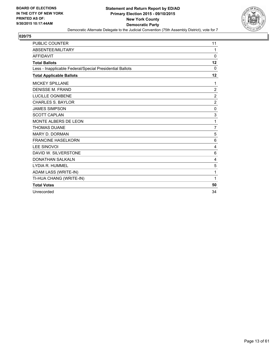

| <b>PUBLIC COUNTER</b>                                    | 11             |
|----------------------------------------------------------|----------------|
| ABSENTEE/MILITARY                                        | 1              |
| <b>AFFIDAVIT</b>                                         | 0              |
| <b>Total Ballots</b>                                     | 12             |
| Less - Inapplicable Federal/Special Presidential Ballots | $\Omega$       |
| <b>Total Applicable Ballots</b>                          | 12             |
| MICKEY SPILLANE                                          | 1              |
| <b>DENISSE M. FRAND</b>                                  | $\overline{2}$ |
| <b>LUCILLE OGNIBENE</b>                                  | $\overline{2}$ |
| <b>CHARLES S. BAYLOR</b>                                 | $\overline{2}$ |
| <b>JAMES SIMPSON</b>                                     | 0              |
| <b>SCOTT CAPLAN</b>                                      | 3              |
| <b>MONTE ALBERS DE LEON</b>                              | 1              |
| <b>THOMAS DUANE</b>                                      | $\overline{7}$ |
| <b>MARY D. DORMAN</b>                                    | 5              |
| <b>FRANCINE HASELKORN</b>                                | 6              |
| <b>LEE SINOVOI</b>                                       | 4              |
| DAVID W. SILVERSTONE                                     | 6              |
| <b>DONATHAN SALKALN</b>                                  | 4              |
| LYDIA R. HUMMEL                                          | 5              |
| ADAM LASS (WRITE-IN)                                     | 1              |
| TI-HUA CHANG (WRITE-IN)                                  | 1              |
| <b>Total Votes</b>                                       | 50             |
| Unrecorded                                               | 34             |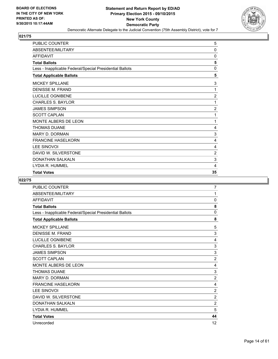

| PUBLIC COUNTER                                           | 5              |
|----------------------------------------------------------|----------------|
| ABSENTEE/MILITARY                                        | $\mathbf{0}$   |
| <b>AFFIDAVIT</b>                                         | 0              |
| <b>Total Ballots</b>                                     | 5              |
| Less - Inapplicable Federal/Special Presidential Ballots | 0              |
| <b>Total Applicable Ballots</b>                          | 5              |
| <b>MICKEY SPILLANE</b>                                   | 3              |
| <b>DENISSE M. FRAND</b>                                  | 1              |
| LUCILLE OGNIBENE                                         | $\overline{2}$ |
| <b>CHARLES S. BAYLOR</b>                                 | 1              |
| <b>JAMES SIMPSON</b>                                     | $\overline{2}$ |
| <b>SCOTT CAPLAN</b>                                      | 1              |
| <b>MONTE ALBERS DE LEON</b>                              | 1              |
| <b>THOMAS DUANE</b>                                      | 4              |
| <b>MARY D. DORMAN</b>                                    | 3              |
| <b>FRANCINE HASELKORN</b>                                | 4              |
| <b>LEE SINOVOI</b>                                       | 4              |
| DAVID W. SILVERSTONE                                     | 2              |
| <b>DONATHAN SALKALN</b>                                  | 3              |
| LYDIA R. HUMMEL                                          | 4              |
| <b>Total Votes</b>                                       | 35             |

| PUBLIC COUNTER                                           | $\overline{7}$ |
|----------------------------------------------------------|----------------|
| ABSENTEE/MILITARY                                        | 1              |
| <b>AFFIDAVIT</b>                                         | 0              |
| <b>Total Ballots</b>                                     | 8              |
| Less - Inapplicable Federal/Special Presidential Ballots | 0              |
| <b>Total Applicable Ballots</b>                          | 8              |
| <b>MICKEY SPILLANE</b>                                   | 5              |
| <b>DENISSE M. FRAND</b>                                  | 3              |
| LUCILLE OGNIBENE                                         | 4              |
| <b>CHARLES S. BAYLOR</b>                                 | $\mathsf 3$    |
| <b>JAMES SIMPSON</b>                                     | 3              |
| <b>SCOTT CAPLAN</b>                                      | $\overline{2}$ |
| MONTE ALBERS DE LEON                                     | 4              |
| <b>THOMAS DUANE</b>                                      | 3              |
| <b>MARY D. DORMAN</b>                                    | $\overline{2}$ |
| <b>FRANCINE HASELKORN</b>                                | 4              |
| <b>LEE SINOVOI</b>                                       | $\overline{2}$ |
| DAVID W. SILVERSTONE                                     | $\overline{2}$ |
| <b>DONATHAN SALKALN</b>                                  | $\overline{2}$ |
| LYDIA R. HUMMEL                                          | 5              |
| <b>Total Votes</b>                                       | 44             |
| Unrecorded                                               | 12             |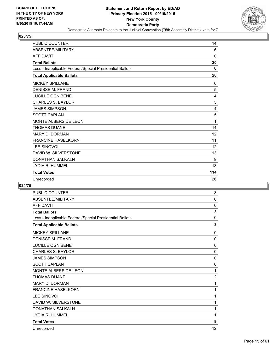

| <b>PUBLIC COUNTER</b>                                    | 14           |
|----------------------------------------------------------|--------------|
| ABSENTEE/MILITARY                                        | 6            |
| <b>AFFIDAVIT</b>                                         | 0            |
| <b>Total Ballots</b>                                     | 20           |
| Less - Inapplicable Federal/Special Presidential Ballots | $\mathbf{0}$ |
| <b>Total Applicable Ballots</b>                          | 20           |
| <b>MICKEY SPILLANE</b>                                   | 6            |
| <b>DENISSE M. FRAND</b>                                  | 5            |
| <b>LUCILLE OGNIBENE</b>                                  | 4            |
| <b>CHARLES S. BAYLOR</b>                                 | 5            |
| <b>JAMES SIMPSON</b>                                     | 4            |
| <b>SCOTT CAPLAN</b>                                      | 5            |
| MONTE ALBERS DE LEON                                     | 1            |
| <b>THOMAS DUANE</b>                                      | 14           |
| <b>MARY D. DORMAN</b>                                    | 12           |
| <b>FRANCINE HASELKORN</b>                                | 11           |
| <b>LEE SINOVOI</b>                                       | 12           |
| DAVID W. SILVERSTONE                                     | 13           |
| <b>DONATHAN SALKALN</b>                                  | 9            |
| LYDIA R. HUMMEL                                          | 13           |
| <b>Total Votes</b>                                       | 114          |
| Unrecorded                                               | 26           |

| <b>PUBLIC COUNTER</b>                                    | 3              |
|----------------------------------------------------------|----------------|
| ABSENTEE/MILITARY                                        | 0              |
| <b>AFFIDAVIT</b>                                         | 0              |
| <b>Total Ballots</b>                                     | 3              |
| Less - Inapplicable Federal/Special Presidential Ballots | 0              |
| <b>Total Applicable Ballots</b>                          | 3              |
| <b>MICKEY SPILLANE</b>                                   | 0              |
| <b>DENISSE M. FRAND</b>                                  | 0              |
| LUCILLE OGNIBENE                                         | $\mathbf 0$    |
| <b>CHARLES S. BAYLOR</b>                                 | 0              |
| <b>JAMES SIMPSON</b>                                     | 0              |
| <b>SCOTT CAPLAN</b>                                      | 0              |
| MONTE ALBERS DE LEON                                     | 1              |
| <b>THOMAS DUANE</b>                                      | $\overline{2}$ |
| <b>MARY D. DORMAN</b>                                    | 1              |
| <b>FRANCINE HASELKORN</b>                                | 1              |
| <b>LEE SINOVOI</b>                                       | 1              |
| DAVID W. SILVERSTONE                                     | 1              |
| <b>DONATHAN SALKALN</b>                                  | 1              |
| LYDIA R. HUMMEL                                          | 1              |
| <b>Total Votes</b>                                       | 9              |
| Unrecorded                                               | 12             |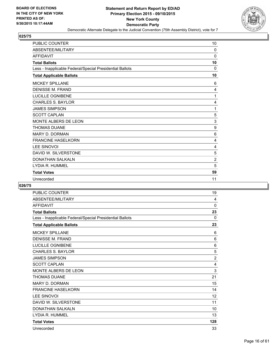

| <b>PUBLIC COUNTER</b>                                    | 10             |
|----------------------------------------------------------|----------------|
| ABSENTEE/MILITARY                                        | 0              |
| <b>AFFIDAVIT</b>                                         | $\Omega$       |
| <b>Total Ballots</b>                                     | 10             |
| Less - Inapplicable Federal/Special Presidential Ballots | 0              |
| <b>Total Applicable Ballots</b>                          | 10             |
| <b>MICKEY SPILLANE</b>                                   | 6              |
| <b>DENISSE M. FRAND</b>                                  | 4              |
| LUCILLE OGNIBENE                                         | 1              |
| <b>CHARLES S. BAYLOR</b>                                 | 4              |
| <b>JAMES SIMPSON</b>                                     | 1              |
| <b>SCOTT CAPLAN</b>                                      | 5              |
| MONTE ALBERS DE LEON                                     | 3              |
| <b>THOMAS DUANE</b>                                      | 9              |
| <b>MARY D. DORMAN</b>                                    | 6              |
| <b>FRANCINE HASELKORN</b>                                | 4              |
| <b>LEE SINOVOI</b>                                       | 4              |
| DAVID W. SILVERSTONE                                     | 5              |
| <b>DONATHAN SALKALN</b>                                  | $\overline{2}$ |
| LYDIA R. HUMMEL                                          | 5              |
| <b>Total Votes</b>                                       | 59             |
| Unrecorded                                               | 11             |

| <b>PUBLIC COUNTER</b>                                    | 19             |
|----------------------------------------------------------|----------------|
| ABSENTEE/MILITARY                                        | 4              |
| <b>AFFIDAVIT</b>                                         | 0              |
| <b>Total Ballots</b>                                     | 23             |
| Less - Inapplicable Federal/Special Presidential Ballots | $\mathbf{0}$   |
| <b>Total Applicable Ballots</b>                          | 23             |
| <b>MICKEY SPILLANE</b>                                   | 6              |
| <b>DENISSE M. FRAND</b>                                  | 6              |
| LUCILLE OGNIBENE                                         | 6              |
| <b>CHARLES S. BAYLOR</b>                                 | 5              |
| <b>JAMES SIMPSON</b>                                     | $\overline{2}$ |
| <b>SCOTT CAPLAN</b>                                      | $\overline{4}$ |
| MONTE ALBERS DE LEON                                     | $\mathsf 3$    |
| <b>THOMAS DUANE</b>                                      | 21             |
| <b>MARY D. DORMAN</b>                                    | 15             |
| <b>FRANCINE HASELKORN</b>                                | 14             |
| <b>LEE SINOVOI</b>                                       | 12             |
| DAVID W. SILVERSTONE                                     | 11             |
| <b>DONATHAN SALKALN</b>                                  | 10             |
| LYDIA R. HUMMEL                                          | 13             |
| <b>Total Votes</b>                                       | 128            |
| Unrecorded                                               | 33             |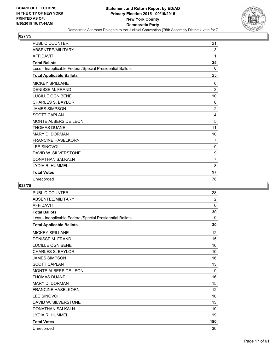

| <b>PUBLIC COUNTER</b>                                    | 21             |
|----------------------------------------------------------|----------------|
| ABSENTEE/MILITARY                                        | 3              |
| <b>AFFIDAVIT</b>                                         | 1              |
| <b>Total Ballots</b>                                     | 25             |
| Less - Inapplicable Federal/Special Presidential Ballots | $\mathbf{0}$   |
| <b>Total Applicable Ballots</b>                          | 25             |
| <b>MICKEY SPILLANE</b>                                   | 6              |
| <b>DENISSE M. FRAND</b>                                  | 3              |
| <b>LUCILLE OGNIBENE</b>                                  | 10             |
| <b>CHARLES S. BAYLOR</b>                                 | 6              |
| <b>JAMES SIMPSON</b>                                     | $\overline{2}$ |
| <b>SCOTT CAPLAN</b>                                      | 4              |
| MONTE ALBERS DE LEON                                     | 5              |
| <b>THOMAS DUANE</b>                                      | 11             |
| <b>MARY D. DORMAN</b>                                    | 10             |
| <b>FRANCINE HASELKORN</b>                                | 7              |
| <b>LEE SINOVOI</b>                                       | 9              |
| DAVID W. SILVERSTONE                                     | 9              |
| <b>DONATHAN SALKALN</b>                                  | 7              |
| LYDIA R. HUMMEL                                          | 8              |
| <b>Total Votes</b>                                       | 97             |
| Unrecorded                                               | 78             |

| <b>PUBLIC COUNTER</b>                                    | 28             |
|----------------------------------------------------------|----------------|
| ABSENTEE/MILITARY                                        | $\overline{2}$ |
| <b>AFFIDAVIT</b>                                         | 0              |
| <b>Total Ballots</b>                                     | 30             |
| Less - Inapplicable Federal/Special Presidential Ballots | $\mathbf{0}$   |
| <b>Total Applicable Ballots</b>                          | 30             |
| <b>MICKEY SPILLANE</b>                                   | 12             |
| <b>DENISSE M. FRAND</b>                                  | 15             |
| <b>LUCILLE OGNIBENE</b>                                  | 10             |
| <b>CHARLES S. BAYLOR</b>                                 | 10             |
| <b>JAMES SIMPSON</b>                                     | 16             |
| <b>SCOTT CAPLAN</b>                                      | 13             |
| MONTE ALBERS DE LEON                                     | 9              |
| <b>THOMAS DUANE</b>                                      | 16             |
| <b>MARY D. DORMAN</b>                                    | 15             |
| <b>FRANCINE HASELKORN</b>                                | 12             |
| <b>LEE SINOVOI</b>                                       | 10             |
| DAVID W. SILVERSTONE                                     | 13             |
| <b>DONATHAN SALKALN</b>                                  | 10             |
| LYDIA R. HUMMEL                                          | 19             |
| <b>Total Votes</b>                                       | 180            |
| Unrecorded                                               | 30             |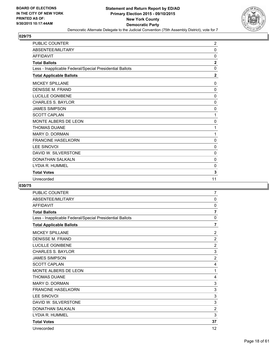

| <b>PUBLIC COUNTER</b>                                    | $\overline{2}$          |
|----------------------------------------------------------|-------------------------|
| ABSENTEE/MILITARY                                        | $\mathbf 0$             |
| <b>AFFIDAVIT</b>                                         | 0                       |
| <b>Total Ballots</b>                                     | $\overline{\mathbf{2}}$ |
| Less - Inapplicable Federal/Special Presidential Ballots | $\Omega$                |
| <b>Total Applicable Ballots</b>                          | $\overline{2}$          |
| <b>MICKEY SPILLANE</b>                                   | 0                       |
| <b>DENISSE M. FRAND</b>                                  | $\mathbf 0$             |
| LUCILLE OGNIBENE                                         | 0                       |
| <b>CHARLES S. BAYLOR</b>                                 | $\mathbf 0$             |
| <b>JAMES SIMPSON</b>                                     | 0                       |
| <b>SCOTT CAPLAN</b>                                      | 1                       |
| MONTE ALBERS DE LEON                                     | 0                       |
| <b>THOMAS DUANE</b>                                      | 1                       |
| <b>MARY D. DORMAN</b>                                    | 1                       |
| <b>FRANCINE HASELKORN</b>                                | 0                       |
| <b>LEE SINOVOI</b>                                       | $\mathbf 0$             |
| DAVID W. SILVERSTONE                                     | 0                       |
| <b>DONATHAN SALKALN</b>                                  | 0                       |
| LYDIA R. HUMMEL                                          | $\Omega$                |
| <b>Total Votes</b>                                       | 3                       |
| Unrecorded                                               | 11                      |

| <b>PUBLIC COUNTER</b>                                    | $\overline{7}$ |
|----------------------------------------------------------|----------------|
| ABSENTEE/MILITARY                                        | 0              |
| <b>AFFIDAVIT</b>                                         | 0              |
| <b>Total Ballots</b>                                     | $\overline{7}$ |
| Less - Inapplicable Federal/Special Presidential Ballots | $\mathbf{0}$   |
| <b>Total Applicable Ballots</b>                          | $\overline{7}$ |
| <b>MICKEY SPILLANE</b>                                   | $\overline{2}$ |
| <b>DENISSE M. FRAND</b>                                  | $\overline{2}$ |
| LUCILLE OGNIBENE                                         | $\overline{2}$ |
| <b>CHARLES S. BAYLOR</b>                                 | 3              |
| <b>JAMES SIMPSON</b>                                     | $\overline{2}$ |
| <b>SCOTT CAPLAN</b>                                      | 4              |
| MONTE ALBERS DE LEON                                     | 1              |
| <b>THOMAS DUANE</b>                                      | 4              |
| <b>MARY D. DORMAN</b>                                    | 3              |
| <b>FRANCINE HASELKORN</b>                                | 3              |
| <b>LEE SINOVOI</b>                                       | 3              |
| DAVID W. SILVERSTONE                                     | 3              |
| <b>DONATHAN SALKALN</b>                                  | $\overline{c}$ |
| LYDIA R. HUMMEL                                          | 3              |
| <b>Total Votes</b>                                       | 37             |
| Unrecorded                                               | 12             |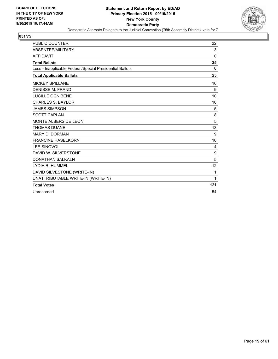

| <b>PUBLIC COUNTER</b>                                    | 22           |
|----------------------------------------------------------|--------------|
| <b>ABSENTEE/MILITARY</b>                                 | 3            |
| <b>AFFIDAVIT</b>                                         | $\mathbf{0}$ |
| <b>Total Ballots</b>                                     | 25           |
| Less - Inapplicable Federal/Special Presidential Ballots | 0            |
| <b>Total Applicable Ballots</b>                          | 25           |
| <b>MICKEY SPILLANE</b>                                   | 10           |
| <b>DENISSE M. FRAND</b>                                  | 9            |
| <b>LUCILLE OGNIBENE</b>                                  | 10           |
| <b>CHARLES S. BAYLOR</b>                                 | 10           |
| <b>JAMES SIMPSON</b>                                     | 5            |
| <b>SCOTT CAPLAN</b>                                      | 8            |
| <b>MONTE ALBERS DE LEON</b>                              | 5            |
| <b>THOMAS DUANE</b>                                      | 13           |
| <b>MARY D. DORMAN</b>                                    | 9            |
| <b>FRANCINE HASELKORN</b>                                | 10           |
| <b>LEE SINOVOI</b>                                       | 4            |
| DAVID W. SILVERSTONE                                     | 9            |
| <b>DONATHAN SALKALN</b>                                  | 5            |
| LYDIA R. HUMMEL                                          | 12           |
| DAVID SILVESTONE (WRITE-IN)                              | 1            |
| UNATTRIBUTABLE WRITE-IN (WRITE-IN)                       | 1            |
| <b>Total Votes</b>                                       | 121          |
| Unrecorded                                               | 54           |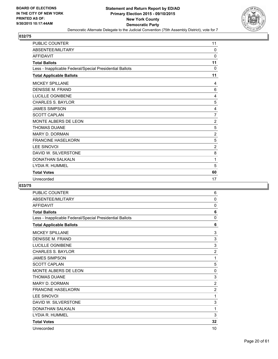

| <b>PUBLIC COUNTER</b>                                    | 11             |
|----------------------------------------------------------|----------------|
| ABSENTEE/MILITARY                                        | $\mathbf{0}$   |
| <b>AFFIDAVIT</b>                                         | $\mathbf 0$    |
| <b>Total Ballots</b>                                     | 11             |
| Less - Inapplicable Federal/Special Presidential Ballots | $\Omega$       |
| <b>Total Applicable Ballots</b>                          | 11             |
| <b>MICKEY SPILLANE</b>                                   | 4              |
| <b>DENISSE M. FRAND</b>                                  | 6              |
| <b>LUCILLE OGNIBENE</b>                                  | 4              |
| <b>CHARLES S. BAYLOR</b>                                 | 5              |
| <b>JAMES SIMPSON</b>                                     | 4              |
| <b>SCOTT CAPLAN</b>                                      | 7              |
| MONTE ALBERS DE LEON                                     | $\overline{2}$ |
| <b>THOMAS DUANE</b>                                      | 5              |
| <b>MARY D. DORMAN</b>                                    | $\overline{c}$ |
| <b>FRANCINE HASELKORN</b>                                | 5              |
| <b>LEE SINOVOI</b>                                       | $\overline{2}$ |
| DAVID W. SILVERSTONE                                     | 8              |
| <b>DONATHAN SALKALN</b>                                  | 1              |
| LYDIA R. HUMMEL                                          | 5              |
| <b>Total Votes</b>                                       | 60             |
| Unrecorded                                               | 17             |

| <b>PUBLIC COUNTER</b>                                    | 6              |
|----------------------------------------------------------|----------------|
| ABSENTEE/MILITARY                                        | $\mathbf{0}$   |
| <b>AFFIDAVIT</b>                                         | 0              |
| <b>Total Ballots</b>                                     | 6              |
| Less - Inapplicable Federal/Special Presidential Ballots | 0              |
| <b>Total Applicable Ballots</b>                          | 6              |
| <b>MICKEY SPILLANE</b>                                   | 3              |
| <b>DENISSE M. FRAND</b>                                  | 3              |
| LUCILLE OGNIBENE                                         | 3              |
| <b>CHARLES S. BAYLOR</b>                                 | $\overline{2}$ |
| <b>JAMES SIMPSON</b>                                     | 1              |
| <b>SCOTT CAPLAN</b>                                      | 5              |
| MONTE ALBERS DE LEON                                     | 0              |
| <b>THOMAS DUANE</b>                                      | 3              |
| <b>MARY D. DORMAN</b>                                    | $\overline{2}$ |
| <b>FRANCINE HASELKORN</b>                                | $\overline{2}$ |
| <b>LEE SINOVOI</b>                                       | 1              |
| DAVID W. SILVERSTONE                                     | 3              |
| <b>DONATHAN SALKALN</b>                                  | 1              |
| LYDIA R. HUMMEL                                          | 3              |
| <b>Total Votes</b>                                       | 32             |
| Unrecorded                                               | 10             |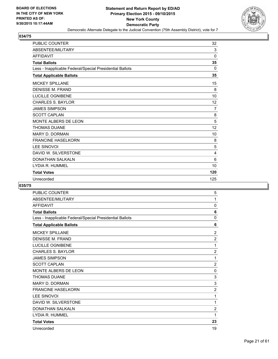

| <b>PUBLIC COUNTER</b>                                    | 32             |
|----------------------------------------------------------|----------------|
| ABSENTEE/MILITARY                                        | 3              |
| <b>AFFIDAVIT</b>                                         | $\Omega$       |
| <b>Total Ballots</b>                                     | 35             |
| Less - Inapplicable Federal/Special Presidential Ballots | $\Omega$       |
| <b>Total Applicable Ballots</b>                          | 35             |
| <b>MICKEY SPILLANE</b>                                   | 15             |
| <b>DENISSE M. FRAND</b>                                  | 8              |
| <b>LUCILLE OGNIBENE</b>                                  | 10             |
| <b>CHARLES S. BAYLOR</b>                                 | 12             |
| <b>JAMES SIMPSON</b>                                     | $\overline{7}$ |
| <b>SCOTT CAPLAN</b>                                      | 8              |
| MONTE ALBERS DE LEON                                     | 5              |
| <b>THOMAS DUANE</b>                                      | 12             |
| <b>MARY D. DORMAN</b>                                    | 10             |
| <b>FRANCINE HASELKORN</b>                                | 8              |
| <b>LEE SINOVOI</b>                                       | 5              |
| DAVID W. SILVERSTONE                                     | 4              |
| <b>DONATHAN SALKALN</b>                                  | 6              |
| LYDIA R. HUMMEL                                          | 10             |
| <b>Total Votes</b>                                       | 120            |
| Unrecorded                                               | 125            |

| <b>PUBLIC COUNTER</b>                                    | 5              |
|----------------------------------------------------------|----------------|
| ABSENTEE/MILITARY                                        | 1              |
| <b>AFFIDAVIT</b>                                         | 0              |
| <b>Total Ballots</b>                                     | 6              |
| Less - Inapplicable Federal/Special Presidential Ballots | $\mathbf{0}$   |
| <b>Total Applicable Ballots</b>                          | 6              |
| <b>MICKEY SPILLANE</b>                                   | $\overline{2}$ |
| <b>DENISSE M. FRAND</b>                                  | 2              |
| <b>LUCILLE OGNIBENE</b>                                  | 1              |
| <b>CHARLES S. BAYLOR</b>                                 | $\overline{2}$ |
| <b>JAMES SIMPSON</b>                                     | 1              |
| <b>SCOTT CAPLAN</b>                                      | $\overline{2}$ |
| MONTE ALBERS DE LEON                                     | 0              |
| <b>THOMAS DUANE</b>                                      | 3              |
| <b>MARY D. DORMAN</b>                                    | 3              |
| <b>FRANCINE HASELKORN</b>                                | $\overline{2}$ |
| <b>LEE SINOVOI</b>                                       | 1              |
| DAVID W. SILVERSTONE                                     | 1              |
| <b>DONATHAN SALKALN</b>                                  | $\overline{2}$ |
| LYDIA R. HUMMEL                                          | 1              |
| <b>Total Votes</b>                                       | 23             |
| Unrecorded                                               | 19             |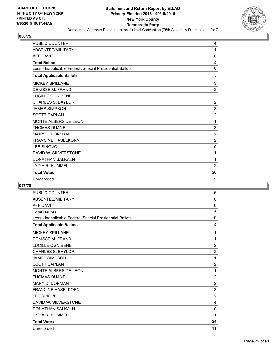

| <b>PUBLIC COUNTER</b>                                    | 4              |
|----------------------------------------------------------|----------------|
| ABSENTEE/MILITARY                                        | 1              |
| <b>AFFIDAVIT</b>                                         | 0              |
| <b>Total Ballots</b>                                     | 5              |
| Less - Inapplicable Federal/Special Presidential Ballots | $\mathbf 0$    |
| <b>Total Applicable Ballots</b>                          | 5              |
| <b>MICKEY SPILLANE</b>                                   | 3              |
| <b>DENISSE M. FRAND</b>                                  | $\overline{2}$ |
| LUCILLE OGNIBENE                                         | 2              |
| <b>CHARLES S. BAYLOR</b>                                 | $\overline{2}$ |
| <b>JAMES SIMPSON</b>                                     | 3              |
| <b>SCOTT CAPLAN</b>                                      | $\overline{2}$ |
| MONTE ALBERS DE LEON                                     | 1              |
| <b>THOMAS DUANE</b>                                      | 3              |
| <b>MARY D. DORMAN</b>                                    | $\overline{2}$ |
| <b>FRANCINE HASELKORN</b>                                | $\overline{2}$ |
| <b>LEE SINOVOI</b>                                       | $\mathbf 0$    |
| DAVID W. SILVERSTONE                                     | 1              |
| <b>DONATHAN SALKALN</b>                                  | 1              |
| LYDIA R. HUMMEL                                          | $\overline{2}$ |
| <b>Total Votes</b>                                       | 26             |
| Unrecorded                                               | 9              |

| <b>PUBLIC COUNTER</b>                                    | 5              |
|----------------------------------------------------------|----------------|
| ABSENTEE/MILITARY                                        | $\mathbf{0}$   |
| <b>AFFIDAVIT</b>                                         | 0              |
| <b>Total Ballots</b>                                     | 5              |
| Less - Inapplicable Federal/Special Presidential Ballots | 0              |
| <b>Total Applicable Ballots</b>                          | 5              |
| <b>MICKEY SPILLANE</b>                                   | 1              |
| DENISSE M. FRAND                                         | 1              |
| LUCILLE OGNIBENE                                         | $\overline{2}$ |
| <b>CHARLES S. BAYLOR</b>                                 | $\overline{2}$ |
| <b>JAMES SIMPSON</b>                                     | 1              |
| <b>SCOTT CAPLAN</b>                                      | $\overline{2}$ |
| MONTE ALBERS DE LEON                                     | 1              |
| <b>THOMAS DUANE</b>                                      | $\overline{2}$ |
| <b>MARY D. DORMAN</b>                                    | $\overline{2}$ |
| <b>FRANCINE HASELKORN</b>                                | 3              |
| <b>LEE SINOVOI</b>                                       | $\overline{2}$ |
| DAVID W. SILVERSTONE                                     | 4              |
| <b>DONATHAN SALKALN</b>                                  | 0              |
| LYDIA R. HUMMEL                                          | 1              |
| <b>Total Votes</b>                                       | 24             |
| Unrecorded                                               | 11             |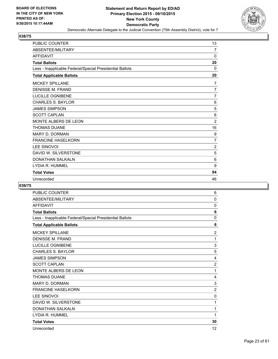

| <b>PUBLIC COUNTER</b>                                    | 13             |
|----------------------------------------------------------|----------------|
| ABSENTEE/MILITARY                                        | 7              |
| <b>AFFIDAVIT</b>                                         | $\mathbf{0}$   |
| <b>Total Ballots</b>                                     | 20             |
| Less - Inapplicable Federal/Special Presidential Ballots | $\Omega$       |
| <b>Total Applicable Ballots</b>                          | 20             |
| <b>MICKEY SPILLANE</b>                                   | $\overline{7}$ |
| <b>DENISSE M. FRAND</b>                                  | $\overline{7}$ |
| <b>LUCILLE OGNIBENE</b>                                  | 7              |
| <b>CHARLES S. BAYLOR</b>                                 | 6              |
| <b>JAMES SIMPSON</b>                                     | 5              |
| <b>SCOTT CAPLAN</b>                                      | 6              |
| MONTE ALBERS DE LEON                                     | $\overline{2}$ |
| <b>THOMAS DUANE</b>                                      | 16             |
| <b>MARY D. DORMAN</b>                                    | 9              |
| <b>FRANCINE HASELKORN</b>                                | 7              |
| <b>LEE SINOVOI</b>                                       | $\overline{2}$ |
| DAVID W. SILVERSTONE                                     | 5              |
| <b>DONATHAN SALKALN</b>                                  | 6              |
| LYDIA R. HUMMEL                                          | 9              |
| <b>Total Votes</b>                                       | 94             |
| Unrecorded                                               | 46             |

| <b>PUBLIC COUNTER</b>                                    | 6              |
|----------------------------------------------------------|----------------|
| ABSENTEE/MILITARY                                        | 0              |
| <b>AFFIDAVIT</b>                                         | 0              |
| <b>Total Ballots</b>                                     | 6              |
| Less - Inapplicable Federal/Special Presidential Ballots | $\mathbf{0}$   |
| <b>Total Applicable Ballots</b>                          | 6              |
| <b>MICKEY SPILLANE</b>                                   | $\overline{2}$ |
| <b>DENISSE M. FRAND</b>                                  | 1              |
| <b>LUCILLE OGNIBENE</b>                                  | 3              |
| <b>CHARLES S. BAYLOR</b>                                 | 5              |
| <b>JAMES SIMPSON</b>                                     | 4              |
| <b>SCOTT CAPLAN</b>                                      | $\overline{2}$ |
| MONTE ALBERS DE LEON                                     | 1              |
| <b>THOMAS DUANE</b>                                      | 4              |
| <b>MARY D. DORMAN</b>                                    | 3              |
| <b>FRANCINE HASELKORN</b>                                | $\overline{2}$ |
| <b>LEE SINOVOI</b>                                       | 0              |
| DAVID W. SILVERSTONE                                     | 1              |
| <b>DONATHAN SALKALN</b>                                  | 1              |
| LYDIA R. HUMMEL                                          | 1              |
| <b>Total Votes</b>                                       | 30             |
| Unrecorded                                               | 12             |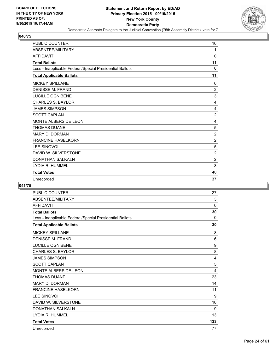

| <b>PUBLIC COUNTER</b>                                    | 10             |
|----------------------------------------------------------|----------------|
| ABSENTEE/MILITARY                                        | 1              |
| <b>AFFIDAVIT</b>                                         | 0              |
| <b>Total Ballots</b>                                     | 11             |
| Less - Inapplicable Federal/Special Presidential Ballots | $\Omega$       |
| <b>Total Applicable Ballots</b>                          | 11             |
| <b>MICKEY SPILLANE</b>                                   | $\Omega$       |
| <b>DENISSE M. FRAND</b>                                  | $\overline{2}$ |
| LUCILLE OGNIBENE                                         | 3              |
| <b>CHARLES S. BAYLOR</b>                                 | 4              |
| <b>JAMES SIMPSON</b>                                     | 4              |
| <b>SCOTT CAPLAN</b>                                      | $\overline{2}$ |
| MONTE ALBERS DE LEON                                     | 4              |
| <b>THOMAS DUANE</b>                                      | 5              |
| <b>MARY D. DORMAN</b>                                    | $\overline{2}$ |
| <b>FRANCINE HASELKORN</b>                                | $\overline{2}$ |
| <b>LEE SINOVOI</b>                                       | 5              |
| DAVID W. SILVERSTONE                                     | $\overline{c}$ |
| <b>DONATHAN SALKALN</b>                                  | $\overline{2}$ |
| LYDIA R. HUMMEL                                          | 3              |
| <b>Total Votes</b>                                       | 40             |
| Unrecorded                                               | 37             |

| PUBLIC COUNTER                                           | 27           |
|----------------------------------------------------------|--------------|
| ABSENTEE/MILITARY                                        | 3            |
| <b>AFFIDAVIT</b>                                         | 0            |
| <b>Total Ballots</b>                                     | 30           |
| Less - Inapplicable Federal/Special Presidential Ballots | $\mathbf{0}$ |
| <b>Total Applicable Ballots</b>                          | 30           |
| <b>MICKEY SPILLANE</b>                                   | 8            |
| <b>DENISSE M. FRAND</b>                                  | 6            |
| <b>LUCILLE OGNIBENE</b>                                  | 9            |
| <b>CHARLES S. BAYLOR</b>                                 | 8            |
| <b>JAMES SIMPSON</b>                                     | 4            |
| <b>SCOTT CAPLAN</b>                                      | 5            |
| MONTE ALBERS DE LEON                                     | 4            |
| <b>THOMAS DUANE</b>                                      | 23           |
| <b>MARY D. DORMAN</b>                                    | 14           |
| <b>FRANCINE HASELKORN</b>                                | 11           |
| <b>LEE SINOVOI</b>                                       | 9            |
| DAVID W. SILVERSTONE                                     | 10           |
| <b>DONATHAN SALKALN</b>                                  | 9            |
| LYDIA R. HUMMEL                                          | 13           |
| <b>Total Votes</b>                                       | 133          |
| Unrecorded                                               | 77           |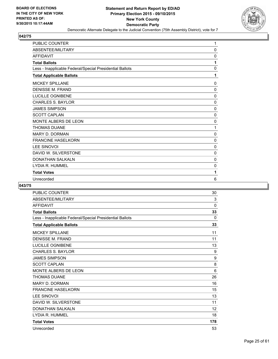

| <b>PUBLIC COUNTER</b>                                    | $\mathbf{1}$ |
|----------------------------------------------------------|--------------|
| ABSENTEE/MILITARY                                        | $\mathbf{0}$ |
| <b>AFFIDAVIT</b>                                         | 0            |
| <b>Total Ballots</b>                                     | 1            |
| Less - Inapplicable Federal/Special Presidential Ballots | $\mathbf{0}$ |
| <b>Total Applicable Ballots</b>                          | 1            |
| <b>MICKEY SPILLANE</b>                                   | 0            |
| <b>DENISSE M. FRAND</b>                                  | 0            |
| <b>LUCILLE OGNIBENE</b>                                  | $\mathbf{0}$ |
| <b>CHARLES S. BAYLOR</b>                                 | $\mathbf{0}$ |
| <b>JAMES SIMPSON</b>                                     | 0            |
| <b>SCOTT CAPLAN</b>                                      | $\mathbf{0}$ |
| MONTE ALBERS DE LEON                                     | 0            |
| <b>THOMAS DUANE</b>                                      | 1            |
| <b>MARY D. DORMAN</b>                                    | 0            |
| <b>FRANCINE HASELKORN</b>                                | $\mathbf{0}$ |
| <b>LEE SINOVOI</b>                                       | 0            |
| DAVID W. SILVERSTONE                                     | 0            |
| <b>DONATHAN SALKALN</b>                                  | $\mathbf{0}$ |
| LYDIA R. HUMMEL                                          | 0            |
| <b>Total Votes</b>                                       | 1            |
| Unrecorded                                               | 6            |

| <b>PUBLIC COUNTER</b>                                    | 30  |
|----------------------------------------------------------|-----|
| ABSENTEE/MILITARY                                        | 3   |
| <b>AFFIDAVIT</b>                                         | 0   |
| <b>Total Ballots</b>                                     | 33  |
| Less - Inapplicable Federal/Special Presidential Ballots | 0   |
| <b>Total Applicable Ballots</b>                          | 33  |
| <b>MICKEY SPILLANE</b>                                   | 11  |
| <b>DENISSE M. FRAND</b>                                  | 11  |
| <b>LUCILLE OGNIBENE</b>                                  | 13  |
| <b>CHARLES S. BAYLOR</b>                                 | 9   |
| <b>JAMES SIMPSON</b>                                     | 9   |
| <b>SCOTT CAPLAN</b>                                      | 8   |
| MONTE ALBERS DE LEON                                     | 6   |
| <b>THOMAS DUANE</b>                                      | 26  |
| <b>MARY D. DORMAN</b>                                    | 16  |
| <b>FRANCINE HASELKORN</b>                                | 15  |
| <b>LEE SINOVOI</b>                                       | 13  |
| DAVID W. SILVERSTONE                                     | 11  |
| <b>DONATHAN SALKALN</b>                                  | 12  |
| LYDIA R. HUMMEL                                          | 18  |
| <b>Total Votes</b>                                       | 178 |
| Unrecorded                                               | 53  |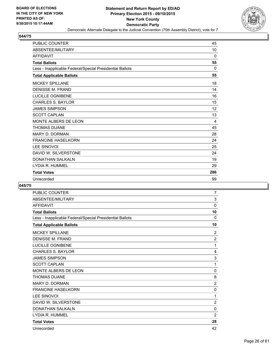

| <b>PUBLIC COUNTER</b>                                    | 45       |
|----------------------------------------------------------|----------|
| ABSENTEE/MILITARY                                        | 10       |
| <b>AFFIDAVIT</b>                                         | 0        |
| <b>Total Ballots</b>                                     | 55       |
| Less - Inapplicable Federal/Special Presidential Ballots | $\Omega$ |
| <b>Total Applicable Ballots</b>                          | 55       |
| <b>MICKEY SPILLANE</b>                                   | 18       |
| <b>DENISSE M. FRAND</b>                                  | 14       |
| <b>LUCILLE OGNIBENE</b>                                  | 16       |
| <b>CHARLES S. BAYLOR</b>                                 | 15       |
| <b>JAMES SIMPSON</b>                                     | 12       |
| <b>SCOTT CAPLAN</b>                                      | 13       |
| <b>MONTE ALBERS DE LEON</b>                              | 4        |
| <b>THOMAS DUANE</b>                                      | 45       |
| <b>MARY D. DORMAN</b>                                    | 28       |
| <b>FRANCINE HASELKORN</b>                                | 24       |
| <b>LEE SINOVOI</b>                                       | 25       |
| DAVID W. SILVERSTONE                                     | 24       |
| <b>DONATHAN SALKALN</b>                                  | 19       |
| LYDIA R. HUMMEL                                          | 29       |
| <b>Total Votes</b>                                       | 286      |
| Unrecorded                                               | 99       |

| <b>PUBLIC COUNTER</b>                                    | 7              |
|----------------------------------------------------------|----------------|
| ABSENTEE/MILITARY                                        | 3              |
| <b>AFFIDAVIT</b>                                         | 0              |
| <b>Total Ballots</b>                                     | 10             |
| Less - Inapplicable Federal/Special Presidential Ballots | $\mathbf{0}$   |
| <b>Total Applicable Ballots</b>                          | 10             |
| <b>MICKEY SPILLANE</b>                                   | $\overline{2}$ |
| <b>DENISSE M. FRAND</b>                                  | $\overline{2}$ |
| LUCILLE OGNIBENE                                         | 1              |
| <b>CHARLES S. BAYLOR</b>                                 | 4              |
| <b>JAMES SIMPSON</b>                                     | 3              |
| <b>SCOTT CAPLAN</b>                                      | 1              |
| MONTE ALBERS DE LEON                                     | 0              |
| <b>THOMAS DUANE</b>                                      | 8              |
| <b>MARY D. DORMAN</b>                                    | $\overline{2}$ |
| <b>FRANCINE HASELKORN</b>                                | 0              |
| <b>LEE SINOVOI</b>                                       | 1              |
| DAVID W. SILVERSTONE                                     | $\overline{2}$ |
| <b>DONATHAN SALKALN</b>                                  | 0              |
| LYDIA R. HUMMEL                                          | $\overline{2}$ |
| <b>Total Votes</b>                                       | 28             |
| Unrecorded                                               | 42             |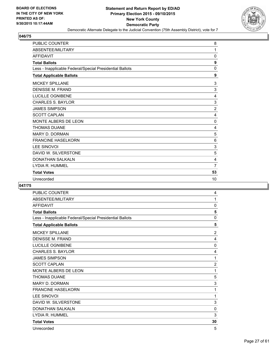

| <b>PUBLIC COUNTER</b>                                    | 8              |
|----------------------------------------------------------|----------------|
| ABSENTEE/MILITARY                                        | 1              |
| <b>AFFIDAVIT</b>                                         | 0              |
| <b>Total Ballots</b>                                     | 9              |
| Less - Inapplicable Federal/Special Presidential Ballots | $\Omega$       |
| <b>Total Applicable Ballots</b>                          | 9              |
| <b>MICKEY SPILLANE</b>                                   | 3              |
| <b>DENISSE M. FRAND</b>                                  | 3              |
| LUCILLE OGNIBENE                                         | 4              |
| <b>CHARLES S. BAYLOR</b>                                 | 3              |
| <b>JAMES SIMPSON</b>                                     | $\overline{c}$ |
| <b>SCOTT CAPLAN</b>                                      | 4              |
| MONTE ALBERS DE LEON                                     | 0              |
| <b>THOMAS DUANE</b>                                      | 4              |
| <b>MARY D. DORMAN</b>                                    | 5              |
| <b>FRANCINE HASELKORN</b>                                | 6              |
| <b>LEE SINOVOI</b>                                       | 3              |
| DAVID W. SILVERSTONE                                     | 5              |
| <b>DONATHAN SALKALN</b>                                  | 4              |
| LYDIA R. HUMMEL                                          | 7              |
| <b>Total Votes</b>                                       | 53             |
| Unrecorded                                               | 10             |

| <b>PUBLIC COUNTER</b>                                    | 4              |
|----------------------------------------------------------|----------------|
| ABSENTEE/MILITARY                                        | 1              |
| <b>AFFIDAVIT</b>                                         | 0              |
| <b>Total Ballots</b>                                     | 5              |
| Less - Inapplicable Federal/Special Presidential Ballots | 0              |
| <b>Total Applicable Ballots</b>                          | 5              |
| <b>MICKEY SPILLANE</b>                                   | 2              |
| <b>DENISSE M. FRAND</b>                                  | 4              |
| LUCILLE OGNIBENE                                         | 0              |
| <b>CHARLES S. BAYLOR</b>                                 | 4              |
| <b>JAMES SIMPSON</b>                                     | 1              |
| <b>SCOTT CAPLAN</b>                                      | $\overline{c}$ |
| MONTE ALBERS DE LEON                                     | 1              |
| <b>THOMAS DUANE</b>                                      | 5              |
| <b>MARY D. DORMAN</b>                                    | 3              |
| <b>FRANCINE HASELKORN</b>                                | 1              |
| <b>LEE SINOVOI</b>                                       | 1              |
| DAVID W. SILVERSTONE                                     | 3              |
| <b>DONATHAN SALKALN</b>                                  | 0              |
| LYDIA R. HUMMEL                                          | 3              |
| <b>Total Votes</b>                                       | 30             |
| Unrecorded                                               | 5              |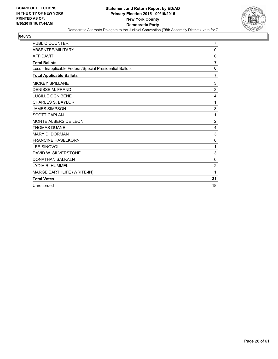

| <b>PUBLIC COUNTER</b>                                    | $\overline{7}$ |
|----------------------------------------------------------|----------------|
| ABSENTEE/MILITARY                                        | 0              |
| <b>AFFIDAVIT</b>                                         | 0              |
| <b>Total Ballots</b>                                     | $\overline{7}$ |
| Less - Inapplicable Federal/Special Presidential Ballots | 0              |
| <b>Total Applicable Ballots</b>                          | $\overline{7}$ |
| <b>MICKEY SPILLANE</b>                                   | 3              |
| <b>DENISSE M. FRAND</b>                                  | 3              |
| <b>LUCILLE OGNIBENE</b>                                  | 4              |
| <b>CHARLES S. BAYLOR</b>                                 | 1              |
| <b>JAMES SIMPSON</b>                                     | 3              |
| <b>SCOTT CAPLAN</b>                                      | 1              |
| <b>MONTE ALBERS DE LEON</b>                              | $\overline{2}$ |
| <b>THOMAS DUANE</b>                                      | 4              |
| <b>MARY D. DORMAN</b>                                    | 3              |
| <b>FRANCINE HASELKORN</b>                                | 0              |
| <b>LEE SINOVOI</b>                                       | 1              |
| DAVID W. SILVERSTONE                                     | 3              |
| <b>DONATHAN SALKALN</b>                                  | 0              |
| LYDIA R. HUMMEL                                          | $\overline{2}$ |
| MARGE EARTHLIFE (WRITE-IN)                               | 1              |
| <b>Total Votes</b>                                       | 31             |
| Unrecorded                                               | 18             |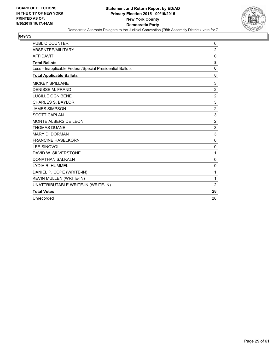

| <b>PUBLIC COUNTER</b>                                    | 6              |
|----------------------------------------------------------|----------------|
| <b>ABSENTEE/MILITARY</b>                                 | $\overline{2}$ |
| <b>AFFIDAVIT</b>                                         | 0              |
| <b>Total Ballots</b>                                     | 8              |
| Less - Inapplicable Federal/Special Presidential Ballots | 0              |
| <b>Total Applicable Ballots</b>                          | 8              |
| <b>MICKEY SPILLANE</b>                                   | 3              |
| <b>DENISSE M. FRAND</b>                                  | $\overline{2}$ |
| <b>LUCILLE OGNIBENE</b>                                  | $\overline{2}$ |
| <b>CHARLES S. BAYLOR</b>                                 | 3              |
| <b>JAMES SIMPSON</b>                                     | $\overline{2}$ |
| <b>SCOTT CAPLAN</b>                                      | 3              |
| MONTE ALBERS DE LEON                                     | $\overline{2}$ |
| <b>THOMAS DUANE</b>                                      | 3              |
| MARY D. DORMAN                                           | 3              |
| <b>FRANCINE HASELKORN</b>                                | $\mathbf 0$    |
| <b>LEE SINOVOI</b>                                       | $\mathbf 0$    |
| DAVID W. SILVERSTONE                                     | 1              |
| <b>DONATHAN SALKALN</b>                                  | $\mathbf 0$    |
| LYDIA R. HUMMEL                                          | 0              |
| DANIEL P. COPE (WRITE-IN)                                | 1              |
| KEVIN MULLEN (WRITE-IN)                                  | 1              |
| UNATTRIBUTABLE WRITE-IN (WRITE-IN)                       | $\overline{2}$ |
| <b>Total Votes</b>                                       | 28             |
| Unrecorded                                               | 28             |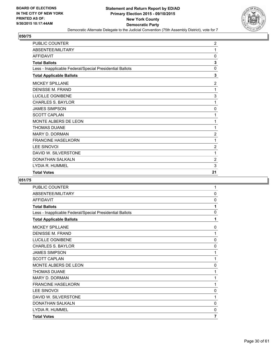

| <b>PUBLIC COUNTER</b>                                    | $\overline{2}$ |
|----------------------------------------------------------|----------------|
| ABSENTEE/MILITARY                                        | 1              |
| <b>AFFIDAVIT</b>                                         | $\mathbf 0$    |
| <b>Total Ballots</b>                                     | 3              |
| Less - Inapplicable Federal/Special Presidential Ballots | $\mathbf 0$    |
| <b>Total Applicable Ballots</b>                          | 3              |
| <b>MICKEY SPILLANE</b>                                   | $\overline{c}$ |
| <b>DENISSE M. FRAND</b>                                  | 1              |
| LUCILLE OGNIBENE                                         | 3              |
| <b>CHARLES S. BAYLOR</b>                                 | 1              |
| <b>JAMES SIMPSON</b>                                     | 0              |
| <b>SCOTT CAPLAN</b>                                      | 1              |
| <b>MONTE ALBERS DE LEON</b>                              | 1              |
| <b>THOMAS DUANE</b>                                      | 1              |
| <b>MARY D. DORMAN</b>                                    | $\overline{2}$ |
| <b>FRANCINE HASELKORN</b>                                | 1              |
| <b>LEE SINOVOI</b>                                       | $\overline{2}$ |
| DAVID W. SILVERSTONE                                     | 1              |
| DONATHAN SALKALN                                         | $\overline{c}$ |
| LYDIA R. HUMMEL                                          | 3              |
| <b>Total Votes</b>                                       | 21             |

| <b>PUBLIC COUNTER</b>                                    | 1           |
|----------------------------------------------------------|-------------|
| ABSENTEE/MILITARY                                        | $\mathbf 0$ |
| <b>AFFIDAVIT</b>                                         | 0           |
| <b>Total Ballots</b>                                     | 1           |
| Less - Inapplicable Federal/Special Presidential Ballots | $\mathbf 0$ |
| <b>Total Applicable Ballots</b>                          | 1           |
| <b>MICKEY SPILLANE</b>                                   | 0           |
| <b>DENISSE M. FRAND</b>                                  | 1           |
| LUCILLE OGNIBENE                                         | $\mathbf 0$ |
| <b>CHARLES S. BAYLOR</b>                                 | 0           |
| <b>JAMES SIMPSON</b>                                     | 1           |
| <b>SCOTT CAPLAN</b>                                      | 1           |
| <b>MONTE ALBERS DE LEON</b>                              | 0           |
| <b>THOMAS DUANE</b>                                      | 1           |
| MARY D. DORMAN                                           | 1           |
| <b>FRANCINE HASELKORN</b>                                | 1           |
| <b>LEE SINOVOI</b>                                       | 0           |
| DAVID W. SILVERSTONE                                     | 1           |
| <b>DONATHAN SALKALN</b>                                  | 0           |
| LYDIA R. HUMMEL                                          | 0           |
| <b>Total Votes</b>                                       | 7           |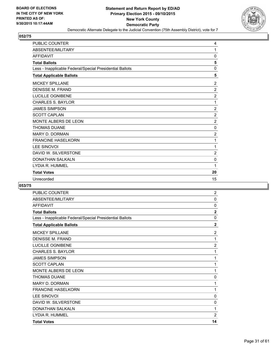

| <b>PUBLIC COUNTER</b>                                    | 4              |
|----------------------------------------------------------|----------------|
| ABSENTEE/MILITARY                                        | 1              |
| <b>AFFIDAVIT</b>                                         | 0              |
| <b>Total Ballots</b>                                     | 5              |
| Less - Inapplicable Federal/Special Presidential Ballots | 0              |
| <b>Total Applicable Ballots</b>                          | 5              |
| <b>MICKEY SPILLANE</b>                                   | 2              |
| <b>DENISSE M. FRAND</b>                                  | $\overline{2}$ |
| <b>LUCILLE OGNIBENE</b>                                  | $\overline{2}$ |
| <b>CHARLES S. BAYLOR</b>                                 | 1              |
| <b>JAMES SIMPSON</b>                                     | $\overline{2}$ |
| <b>SCOTT CAPLAN</b>                                      | $\overline{2}$ |
| MONTE ALBERS DE LEON                                     | $\overline{2}$ |
| <b>THOMAS DUANE</b>                                      | 0              |
| <b>MARY D. DORMAN</b>                                    | $\overline{2}$ |
| <b>FRANCINE HASELKORN</b>                                | 1              |
| <b>LEE SINOVOI</b>                                       | 1              |
| DAVID W. SILVERSTONE                                     | $\overline{2}$ |
| <b>DONATHAN SALKALN</b>                                  | 0              |
| LYDIA R. HUMMEL                                          | 1              |
| <b>Total Votes</b>                                       | 20             |
| Unrecorded                                               | 15             |

| <b>PUBLIC COUNTER</b>                                    | $\overline{2}$ |
|----------------------------------------------------------|----------------|
| ABSENTEE/MILITARY                                        | 0              |
| <b>AFFIDAVIT</b>                                         | $\mathbf{0}$   |
| <b>Total Ballots</b>                                     | $\overline{2}$ |
| Less - Inapplicable Federal/Special Presidential Ballots | 0              |
| <b>Total Applicable Ballots</b>                          | $\overline{2}$ |
| <b>MICKEY SPILLANE</b>                                   | $\overline{2}$ |
| <b>DENISSE M. FRAND</b>                                  | 1              |
| LUCILLE OGNIBENE                                         | $\overline{2}$ |
| <b>CHARLES S. BAYLOR</b>                                 | 1              |
| <b>JAMES SIMPSON</b>                                     | 1              |
| <b>SCOTT CAPLAN</b>                                      | 1              |
| <b>MONTE ALBERS DE LEON</b>                              | 1              |
| <b>THOMAS DUANE</b>                                      | 0              |
| <b>MARY D. DORMAN</b>                                    | 1              |
| <b>FRANCINE HASELKORN</b>                                | 1              |
| <b>LEE SINOVOI</b>                                       | 0              |
| DAVID W. SILVERSTONE                                     | 0              |
| <b>DONATHAN SALKALN</b>                                  | 1              |
| LYDIA R. HUMMEL                                          | $\overline{2}$ |
| <b>Total Votes</b>                                       | 14             |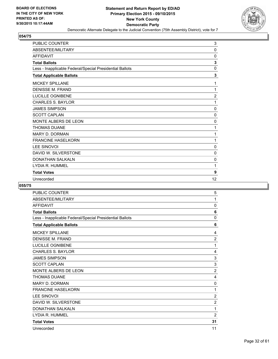

| <b>PUBLIC COUNTER</b>                                    | 3              |
|----------------------------------------------------------|----------------|
| ABSENTEE/MILITARY                                        | $\mathbf{0}$   |
| <b>AFFIDAVIT</b>                                         | 0              |
| <b>Total Ballots</b>                                     | 3              |
| Less - Inapplicable Federal/Special Presidential Ballots | $\mathbf 0$    |
| <b>Total Applicable Ballots</b>                          | 3              |
| <b>MICKEY SPILLANE</b>                                   | 1              |
| <b>DENISSE M. FRAND</b>                                  | 1              |
| LUCILLE OGNIBENE                                         | $\overline{2}$ |
| <b>CHARLES S. BAYLOR</b>                                 | 1              |
| <b>JAMES SIMPSON</b>                                     | $\mathbf 0$    |
| <b>SCOTT CAPLAN</b>                                      | 0              |
| MONTE ALBERS DE LEON                                     | 0              |
| <b>THOMAS DUANE</b>                                      | 1              |
| <b>MARY D. DORMAN</b>                                    | 1              |
| <b>FRANCINE HASELKORN</b>                                | 1              |
| <b>LEE SINOVOI</b>                                       | $\Omega$       |
| DAVID W. SILVERSTONE                                     | 0              |
| <b>DONATHAN SALKALN</b>                                  | 0              |
| LYDIA R. HUMMEL                                          | 1              |
| <b>Total Votes</b>                                       | 9              |
| Unrecorded                                               | 12             |

| <b>PUBLIC COUNTER</b>                                    | 5              |
|----------------------------------------------------------|----------------|
| ABSENTEE/MILITARY                                        | 1              |
| <b>AFFIDAVIT</b>                                         | 0              |
| <b>Total Ballots</b>                                     | 6              |
| Less - Inapplicable Federal/Special Presidential Ballots | $\Omega$       |
| <b>Total Applicable Ballots</b>                          | 6              |
| <b>MICKEY SPILLANE</b>                                   | 4              |
| <b>DENISSE M. FRAND</b>                                  | $\overline{2}$ |
| LUCILLE OGNIBENE                                         | 1              |
| <b>CHARLES S. BAYLOR</b>                                 | 4              |
| <b>JAMES SIMPSON</b>                                     | 3              |
| <b>SCOTT CAPLAN</b>                                      | 3              |
| MONTE ALBERS DE LEON                                     | $\overline{2}$ |
| <b>THOMAS DUANE</b>                                      | 4              |
| <b>MARY D. DORMAN</b>                                    | 0              |
| <b>FRANCINE HASELKORN</b>                                | 1              |
| <b>LEE SINOVOI</b>                                       | $\overline{2}$ |
| DAVID W. SILVERSTONE                                     | $\overline{2}$ |
| <b>DONATHAN SALKALN</b>                                  | 1              |
| LYDIA R. HUMMEL                                          | $\overline{2}$ |
| <b>Total Votes</b>                                       | 31             |
| Unrecorded                                               | 11             |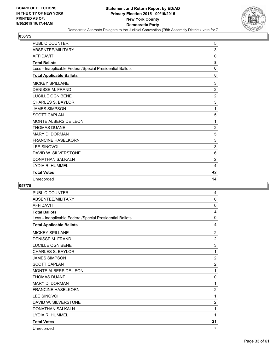

| <b>PUBLIC COUNTER</b>                                    | 5              |
|----------------------------------------------------------|----------------|
| ABSENTEE/MILITARY                                        | 3              |
| <b>AFFIDAVIT</b>                                         | 0              |
| <b>Total Ballots</b>                                     | 8              |
| Less - Inapplicable Federal/Special Presidential Ballots | $\mathbf{0}$   |
| <b>Total Applicable Ballots</b>                          | 8              |
| <b>MICKEY SPILLANE</b>                                   | 3              |
| <b>DENISSE M. FRAND</b>                                  | $\overline{2}$ |
| LUCILLE OGNIBENE                                         | $\overline{2}$ |
| <b>CHARLES S. BAYLOR</b>                                 | 3              |
| <b>JAMES SIMPSON</b>                                     | 1              |
| <b>SCOTT CAPLAN</b>                                      | 5              |
| MONTE ALBERS DE LEON                                     | 1              |
| <b>THOMAS DUANE</b>                                      | $\overline{2}$ |
| <b>MARY D. DORMAN</b>                                    | 5              |
| <b>FRANCINE HASELKORN</b>                                | 3              |
| <b>LEE SINOVOI</b>                                       | 3              |
| DAVID W. SILVERSTONE                                     | 6              |
| <b>DONATHAN SALKALN</b>                                  | $\overline{2}$ |
| LYDIA R. HUMMEL                                          | 4              |
| <b>Total Votes</b>                                       | 42             |
| Unrecorded                                               | 14             |

| <b>PUBLIC COUNTER</b>                                    | 4                       |
|----------------------------------------------------------|-------------------------|
| ABSENTEE/MILITARY                                        | 0                       |
| <b>AFFIDAVIT</b>                                         | 0                       |
| <b>Total Ballots</b>                                     | $\overline{\mathbf{4}}$ |
| Less - Inapplicable Federal/Special Presidential Ballots | $\mathbf{0}$            |
| <b>Total Applicable Ballots</b>                          | 4                       |
| <b>MICKEY SPILLANE</b>                                   | $\overline{2}$          |
| <b>DENISSE M. FRAND</b>                                  | $\overline{2}$          |
| LUCILLE OGNIBENE                                         | 3                       |
| <b>CHARLES S. BAYLOR</b>                                 | 1                       |
| <b>JAMES SIMPSON</b>                                     | $\overline{2}$          |
| <b>SCOTT CAPLAN</b>                                      | $\overline{2}$          |
| <b>MONTE ALBERS DE LEON</b>                              | 1                       |
| <b>THOMAS DUANE</b>                                      | 0                       |
| <b>MARY D. DORMAN</b>                                    | 1                       |
| <b>FRANCINE HASELKORN</b>                                | $\overline{2}$          |
| <b>LEE SINOVOI</b>                                       | 1                       |
| DAVID W. SILVERSTONE                                     | 2                       |
| <b>DONATHAN SALKALN</b>                                  | 1                       |
| LYDIA R. HUMMEL                                          | 1                       |
| <b>Total Votes</b>                                       | 21                      |
| Unrecorded                                               | 7                       |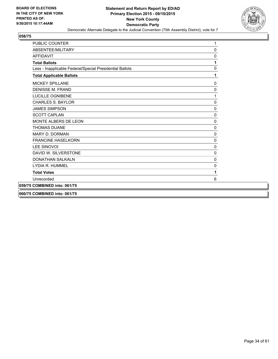

| <b>PUBLIC COUNTER</b>                                    | 1           |
|----------------------------------------------------------|-------------|
| ABSENTEE/MILITARY                                        | 0           |
| <b>AFFIDAVIT</b>                                         | 0           |
| <b>Total Ballots</b>                                     | 1           |
| Less - Inapplicable Federal/Special Presidential Ballots | 0           |
| <b>Total Applicable Ballots</b>                          | 1           |
| <b>MICKEY SPILLANE</b>                                   | 0           |
| <b>DENISSE M. FRAND</b>                                  | 0           |
| <b>LUCILLE OGNIBENE</b>                                  | 1           |
| <b>CHARLES S. BAYLOR</b>                                 | 0           |
| <b>JAMES SIMPSON</b>                                     | 0           |
| <b>SCOTT CAPLAN</b>                                      | 0           |
| MONTE ALBERS DE LEON                                     | 0           |
| <b>THOMAS DUANE</b>                                      | 0           |
| MARY D. DORMAN                                           | $\Omega$    |
| <b>FRANCINE HASELKORN</b>                                | 0           |
| <b>LEE SINOVOI</b>                                       | 0           |
| DAVID W. SILVERSTONE                                     | 0           |
| <b>DONATHAN SALKALN</b>                                  | $\mathbf 0$ |
| LYDIA R. HUMMEL                                          | 0           |
| <b>Total Votes</b>                                       | 1           |
| Unrecorded                                               | 6           |
| 059/75 COMBINED into: 061/75                             |             |
| 060/75 COMBINED into: 061/75                             |             |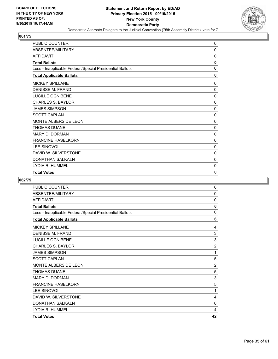

| PUBLIC COUNTER                                           | 0        |
|----------------------------------------------------------|----------|
| ABSENTEE/MILITARY                                        | 0        |
| <b>AFFIDAVIT</b>                                         | 0        |
| <b>Total Ballots</b>                                     | 0        |
| Less - Inapplicable Federal/Special Presidential Ballots | 0        |
| <b>Total Applicable Ballots</b>                          | 0        |
| <b>MICKEY SPILLANE</b>                                   | 0        |
| <b>DENISSE M. FRAND</b>                                  | 0        |
| LUCILLE OGNIBENE                                         | 0        |
| <b>CHARLES S. BAYLOR</b>                                 | 0        |
| <b>JAMES SIMPSON</b>                                     | 0        |
| <b>SCOTT CAPLAN</b>                                      | 0        |
| <b>MONTE ALBERS DE LEON</b>                              | $\Omega$ |
| <b>THOMAS DUANE</b>                                      | 0        |
| <b>MARY D. DORMAN</b>                                    | 0        |
| <b>FRANCINE HASELKORN</b>                                | 0        |
| <b>LEE SINOVOI</b>                                       | $\Omega$ |
| DAVID W. SILVERSTONE                                     | 0        |
| <b>DONATHAN SALKALN</b>                                  | 0        |
| LYDIA R. HUMMEL                                          | 0        |
| <b>Total Votes</b>                                       | 0        |

| PUBLIC COUNTER                                           | 6              |
|----------------------------------------------------------|----------------|
| ABSENTEE/MILITARY                                        | 0              |
| <b>AFFIDAVIT</b>                                         | 0              |
| <b>Total Ballots</b>                                     | 6              |
| Less - Inapplicable Federal/Special Presidential Ballots | 0              |
| <b>Total Applicable Ballots</b>                          | 6              |
| <b>MICKEY SPILLANE</b>                                   | 4              |
| <b>DENISSE M. FRAND</b>                                  | 3              |
| LUCILLE OGNIBENE                                         | $\mathsf 3$    |
| <b>CHARLES S. BAYLOR</b>                                 | $\overline{2}$ |
| <b>JAMES SIMPSON</b>                                     | 1              |
| <b>SCOTT CAPLAN</b>                                      | 5              |
| <b>MONTE ALBERS DE LEON</b>                              | $\overline{2}$ |
| <b>THOMAS DUANE</b>                                      | 5              |
| <b>MARY D. DORMAN</b>                                    | 3              |
| <b>FRANCINE HASELKORN</b>                                | 5              |
| <b>LEE SINOVOI</b>                                       | 1              |
| DAVID W. SILVERSTONE                                     | 4              |
| <b>DONATHAN SALKALN</b>                                  | 0              |
| LYDIA R. HUMMEL                                          | 4              |
| <b>Total Votes</b>                                       | 42             |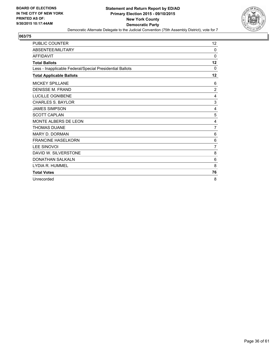

| <b>PUBLIC COUNTER</b>                                    | 12             |
|----------------------------------------------------------|----------------|
| <b>ABSENTEE/MILITARY</b>                                 | 0              |
| <b>AFFIDAVIT</b>                                         | $\Omega$       |
| <b>Total Ballots</b>                                     | 12             |
| Less - Inapplicable Federal/Special Presidential Ballots | $\Omega$       |
| <b>Total Applicable Ballots</b>                          | 12             |
| <b>MICKEY SPILLANE</b>                                   | 6              |
| <b>DENISSE M. FRAND</b>                                  | $\overline{2}$ |
| <b>LUCILLE OGNIBENE</b>                                  | 4              |
| <b>CHARLES S. BAYLOR</b>                                 | 3              |
| <b>JAMES SIMPSON</b>                                     | 4              |
| <b>SCOTT CAPLAN</b>                                      | 5              |
| <b>MONTE ALBERS DE LEON</b>                              | 4              |
| <b>THOMAS DUANE</b>                                      | $\overline{7}$ |
| <b>MARY D. DORMAN</b>                                    | 6              |
| <b>FRANCINE HASELKORN</b>                                | 6              |
| <b>LEE SINOVOI</b>                                       | $\overline{7}$ |
| DAVID W. SILVERSTONE                                     | 8              |
| <b>DONATHAN SALKALN</b>                                  | 6              |
| LYDIA R. HUMMEL                                          | 8              |
| <b>Total Votes</b>                                       | 76             |
| Unrecorded                                               | 8              |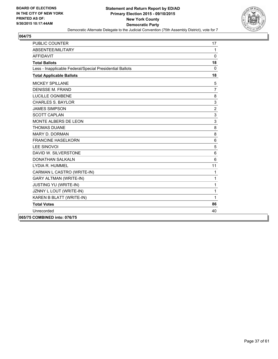

| <b>PUBLIC COUNTER</b>                                    | 17             |
|----------------------------------------------------------|----------------|
| ABSENTEE/MILITARY                                        | 1              |
| <b>AFFIDAVIT</b>                                         | $\mathbf{0}$   |
| <b>Total Ballots</b>                                     | 18             |
| Less - Inapplicable Federal/Special Presidential Ballots | $\mathbf{0}$   |
| <b>Total Applicable Ballots</b>                          | 18             |
| <b>MICKEY SPILLANE</b>                                   | 5              |
| <b>DENISSE M. FRAND</b>                                  | $\overline{7}$ |
| <b>LUCILLE OGNIBENE</b>                                  | 8              |
| <b>CHARLES S. BAYLOR</b>                                 | 3              |
| <b>JAMES SIMPSON</b>                                     | 2              |
| <b>SCOTT CAPLAN</b>                                      | 3              |
| MONTE ALBERS DE LEON                                     | 3              |
| <b>THOMAS DUANE</b>                                      | 8              |
| MARY D. DORMAN                                           | 8              |
| <b>FRANCINE HASELKORN</b>                                | 6              |
| <b>LEE SINOVOI</b>                                       | 5              |
| DAVID W. SILVERSTONE                                     | 6              |
| <b>DONATHAN SALKALN</b>                                  | 6              |
| LYDIA R. HUMMEL                                          | 11             |
| CARMAN L CASTRO (WRITE-IN)                               | 1              |
| <b>GARY ALTMAN (WRITE-IN)</b>                            | 1              |
| JUSTING YU (WRITE-IN)                                    | 1              |
| JZNNY L LOUT (WRITE-IN)                                  | 1              |
| KAREN B BLATT (WRITE-IN)                                 | 1              |
| <b>Total Votes</b>                                       | 86             |
| Unrecorded                                               | 40             |
| 065/75 COMBINED into: 076/75                             |                |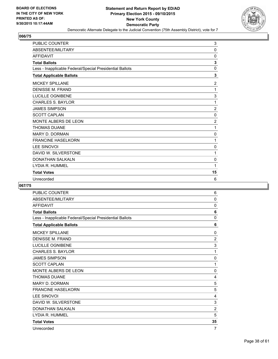

| <b>PUBLIC COUNTER</b>                                    | 3              |
|----------------------------------------------------------|----------------|
| ABSENTEE/MILITARY                                        | $\Omega$       |
| <b>AFFIDAVIT</b>                                         | 0              |
| <b>Total Ballots</b>                                     | 3              |
| Less - Inapplicable Federal/Special Presidential Ballots | $\mathbf 0$    |
| <b>Total Applicable Ballots</b>                          | 3              |
| <b>MICKEY SPILLANE</b>                                   | $\overline{2}$ |
| <b>DENISSE M. FRAND</b>                                  | 1              |
| LUCILLE OGNIBENE                                         | 3              |
| <b>CHARLES S. BAYLOR</b>                                 | 1              |
| <b>JAMES SIMPSON</b>                                     | $\overline{2}$ |
| <b>SCOTT CAPLAN</b>                                      | $\mathbf 0$    |
| MONTE ALBERS DE LEON                                     | $\overline{2}$ |
| <b>THOMAS DUANE</b>                                      | 1              |
| <b>MARY D. DORMAN</b>                                    | 0              |
| <b>FRANCINE HASELKORN</b>                                | 1              |
| <b>LEE SINOVOI</b>                                       | $\mathbf 0$    |
| DAVID W. SILVERSTONE                                     | 1              |
| <b>DONATHAN SALKALN</b>                                  | 0              |
| LYDIA R. HUMMEL                                          | 1              |
| <b>Total Votes</b>                                       | 15             |
| Unrecorded                                               | 6              |

| <b>PUBLIC COUNTER</b>                                    | 6              |
|----------------------------------------------------------|----------------|
| ABSENTEE/MILITARY                                        | $\mathbf{0}$   |
| <b>AFFIDAVIT</b>                                         | 0              |
| <b>Total Ballots</b>                                     | 6              |
| Less - Inapplicable Federal/Special Presidential Ballots | 0              |
| <b>Total Applicable Ballots</b>                          | 6              |
| <b>MICKEY SPILLANE</b>                                   | 0              |
| DENISSE M. FRAND                                         | $\overline{2}$ |
| LUCILLE OGNIBENE                                         | 3              |
| <b>CHARLES S. BAYLOR</b>                                 | 1              |
| <b>JAMES SIMPSON</b>                                     | 0              |
| <b>SCOTT CAPLAN</b>                                      | 1              |
| MONTE ALBERS DE LEON                                     | 0              |
| <b>THOMAS DUANE</b>                                      | 4              |
| <b>MARY D. DORMAN</b>                                    | 5              |
| <b>FRANCINE HASELKORN</b>                                | 5              |
| LEE SINOVOI                                              | 4              |
| DAVID W. SILVERSTONE                                     | 3              |
| <b>DONATHAN SALKALN</b>                                  | $\overline{2}$ |
| LYDIA R. HUMMEL                                          | 5              |
| <b>Total Votes</b>                                       | 35             |
| Unrecorded                                               | 7              |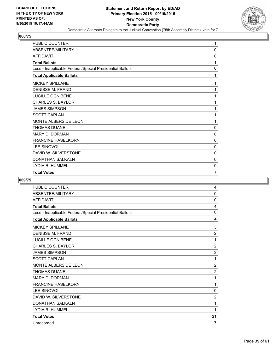

| PUBLIC COUNTER                                           | 1              |
|----------------------------------------------------------|----------------|
| ABSENTEE/MILITARY                                        | 0              |
| <b>AFFIDAVIT</b>                                         | 0              |
| <b>Total Ballots</b>                                     | 1              |
| Less - Inapplicable Federal/Special Presidential Ballots | 0              |
| <b>Total Applicable Ballots</b>                          | 1              |
| <b>MICKEY SPILLANE</b>                                   | 1              |
| <b>DENISSE M. FRAND</b>                                  | 1              |
| LUCILLE OGNIBENE                                         | 1              |
| <b>CHARLES S. BAYLOR</b>                                 | 1              |
| <b>JAMES SIMPSON</b>                                     | 1              |
| <b>SCOTT CAPLAN</b>                                      | 1              |
| MONTE ALBERS DE LEON                                     | 1              |
| <b>THOMAS DUANE</b>                                      | 0              |
| <b>MARY D. DORMAN</b>                                    | 0              |
| <b>FRANCINE HASELKORN</b>                                | 0              |
| <b>LEE SINOVOI</b>                                       | $\mathbf{0}$   |
| DAVID W. SILVERSTONE                                     | 0              |
| <b>DONATHAN SALKALN</b>                                  | 0              |
| LYDIA R. HUMMEL                                          | 0              |
| <b>Total Votes</b>                                       | $\overline{7}$ |

| <b>PUBLIC COUNTER</b>                                    | 4              |
|----------------------------------------------------------|----------------|
| ABSENTEE/MILITARY                                        | 0              |
| <b>AFFIDAVIT</b>                                         | 0              |
| <b>Total Ballots</b>                                     | 4              |
| Less - Inapplicable Federal/Special Presidential Ballots | 0              |
| <b>Total Applicable Ballots</b>                          | 4              |
| <b>MICKEY SPILLANE</b>                                   | 3              |
| <b>DENISSE M. FRAND</b>                                  | $\overline{2}$ |
| LUCILLE OGNIBENE                                         | 1              |
| <b>CHARLES S. BAYLOR</b>                                 | $\overline{2}$ |
| <b>JAMES SIMPSON</b>                                     | $\overline{2}$ |
| <b>SCOTT CAPLAN</b>                                      | 1              |
| <b>MONTE ALBERS DE LEON</b>                              | $\overline{2}$ |
| <b>THOMAS DUANE</b>                                      | $\overline{2}$ |
| <b>MARY D. DORMAN</b>                                    | 1              |
| <b>FRANCINE HASELKORN</b>                                | 1              |
| <b>LEE SINOVOI</b>                                       | 0              |
| DAVID W. SILVERSTONE                                     | $\overline{2}$ |
| <b>DONATHAN SALKALN</b>                                  | 1              |
| LYDIA R. HUMMEL                                          | 1              |
| <b>Total Votes</b>                                       | 21             |
| Unrecorded                                               | 7              |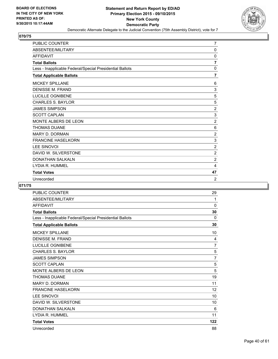

| <b>PUBLIC COUNTER</b>                                    | $\overline{7}$ |
|----------------------------------------------------------|----------------|
| ABSENTEE/MILITARY                                        | 0              |
| <b>AFFIDAVIT</b>                                         | 0              |
| <b>Total Ballots</b>                                     | $\overline{7}$ |
| Less - Inapplicable Federal/Special Presidential Ballots | $\Omega$       |
| <b>Total Applicable Ballots</b>                          | 7              |
| <b>MICKEY SPILLANE</b>                                   | 6              |
| <b>DENISSE M. FRAND</b>                                  | 3              |
| <b>LUCILLE OGNIBENE</b>                                  | 5              |
| <b>CHARLES S. BAYLOR</b>                                 | 5              |
| <b>JAMES SIMPSON</b>                                     | $\overline{2}$ |
| <b>SCOTT CAPLAN</b>                                      | 3              |
| MONTE ALBERS DE LEON                                     | $\overline{2}$ |
| <b>THOMAS DUANE</b>                                      | 6              |
| <b>MARY D. DORMAN</b>                                    | $\overline{2}$ |
| <b>FRANCINE HASELKORN</b>                                | 3              |
| <b>LEE SINOVOI</b>                                       | $\overline{2}$ |
| DAVID W. SILVERSTONE                                     | $\overline{2}$ |
| DONATHAN SALKALN                                         | 2              |
| LYDIA R. HUMMEL                                          | 4              |
| <b>Total Votes</b>                                       | 47             |
| Unrecorded                                               | 2              |

| <b>PUBLIC COUNTER</b>                                    | 29             |
|----------------------------------------------------------|----------------|
| ABSENTEE/MILITARY                                        | 1              |
| <b>AFFIDAVIT</b>                                         | 0              |
| <b>Total Ballots</b>                                     | 30             |
| Less - Inapplicable Federal/Special Presidential Ballots | $\Omega$       |
| <b>Total Applicable Ballots</b>                          | 30             |
| <b>MICKEY SPILLANE</b>                                   | 10             |
| <b>DENISSE M. FRAND</b>                                  | 4              |
| LUCILLE OGNIBENE                                         | $\overline{7}$ |
| <b>CHARLES S. BAYLOR</b>                                 | 5              |
| <b>JAMES SIMPSON</b>                                     | 7              |
| <b>SCOTT CAPLAN</b>                                      | 5              |
| MONTE ALBERS DE LEON                                     | 5              |
| <b>THOMAS DUANE</b>                                      | 19             |
| <b>MARY D. DORMAN</b>                                    | 11             |
| <b>FRANCINE HASELKORN</b>                                | 12             |
| <b>LEE SINOVOI</b>                                       | 10             |
| DAVID W. SILVERSTONE                                     | 10             |
| <b>DONATHAN SALKALN</b>                                  | 6              |
| LYDIA R. HUMMEL                                          | 11             |
| <b>Total Votes</b>                                       | 122            |
| Unrecorded                                               | 88             |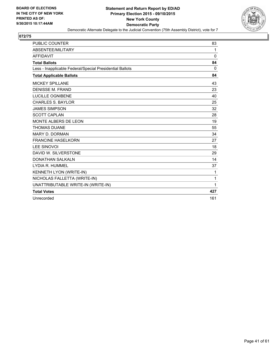

| PUBLIC COUNTER                                           | 83           |
|----------------------------------------------------------|--------------|
| <b>ABSENTEE/MILITARY</b>                                 | 1            |
| <b>AFFIDAVIT</b>                                         | $\mathbf{0}$ |
| <b>Total Ballots</b>                                     | 84           |
| Less - Inapplicable Federal/Special Presidential Ballots | $\Omega$     |
| <b>Total Applicable Ballots</b>                          | 84           |
| <b>MICKEY SPILLANE</b>                                   | 43           |
| <b>DENISSE M. FRAND</b>                                  | 23           |
| <b>LUCILLE OGNIBENE</b>                                  | 40           |
| <b>CHARLES S. BAYLOR</b>                                 | 25           |
| <b>JAMES SIMPSON</b>                                     | 32           |
| <b>SCOTT CAPLAN</b>                                      | 28           |
| MONTE ALBERS DE LEON                                     | 19           |
| <b>THOMAS DUANE</b>                                      | 55           |
| <b>MARY D. DORMAN</b>                                    | 34           |
| <b>FRANCINE HASELKORN</b>                                | 27           |
| <b>LEE SINOVOI</b>                                       | 18           |
| DAVID W. SILVERSTONE                                     | 29           |
| <b>DONATHAN SALKALN</b>                                  | 14           |
| LYDIA R. HUMMEL                                          | 37           |
| KENNETH LYON (WRITE-IN)                                  | 1            |
| NICHOLAS FALLETTA (WRITE-IN)                             | 1            |
| UNATTRIBUTABLE WRITE-IN (WRITE-IN)                       | 1            |
| <b>Total Votes</b>                                       | 427          |
| Unrecorded                                               | 161          |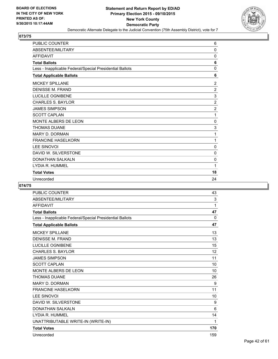

| <b>PUBLIC COUNTER</b>                                    | 6              |
|----------------------------------------------------------|----------------|
| ABSENTEE/MILITARY                                        | 0              |
| <b>AFFIDAVIT</b>                                         | 0              |
| <b>Total Ballots</b>                                     | 6              |
| Less - Inapplicable Federal/Special Presidential Ballots | 0              |
| <b>Total Applicable Ballots</b>                          | 6              |
| <b>MICKEY SPILLANE</b>                                   | $\overline{c}$ |
| <b>DENISSE M. FRAND</b>                                  | $\overline{2}$ |
| LUCILLE OGNIBENE                                         | 3              |
| <b>CHARLES S. BAYLOR</b>                                 | $\overline{2}$ |
| <b>JAMES SIMPSON</b>                                     | $\overline{2}$ |
| <b>SCOTT CAPLAN</b>                                      | 1              |
| MONTE ALBERS DE LEON                                     | $\mathbf{0}$   |
| <b>THOMAS DUANE</b>                                      | 3              |
| <b>MARY D. DORMAN</b>                                    | 1              |
| <b>FRANCINE HASELKORN</b>                                | 1              |
| <b>LEE SINOVOI</b>                                       | 0              |
| DAVID W. SILVERSTONE                                     | 0              |
| <b>DONATHAN SALKALN</b>                                  | $\mathbf{0}$   |
| LYDIA R. HUMMEL                                          | 1              |
| <b>Total Votes</b>                                       | 18             |
| Unrecorded                                               | 24             |

| <b>PUBLIC COUNTER</b>                                    | 43           |
|----------------------------------------------------------|--------------|
| ABSENTEE/MILITARY                                        | 3            |
| <b>AFFIDAVIT</b>                                         | 1            |
| <b>Total Ballots</b>                                     | 47           |
| Less - Inapplicable Federal/Special Presidential Ballots | $\mathbf{0}$ |
| <b>Total Applicable Ballots</b>                          | 47           |
| <b>MICKEY SPILLANE</b>                                   | 13           |
| <b>DENISSE M. FRAND</b>                                  | 13           |
| <b>LUCILLE OGNIBENE</b>                                  | 15           |
| <b>CHARLES S. BAYLOR</b>                                 | 12           |
| <b>JAMES SIMPSON</b>                                     | 11           |
| <b>SCOTT CAPLAN</b>                                      | 10           |
| MONTE ALBERS DE LEON                                     | 10           |
| <b>THOMAS DUANE</b>                                      | 26           |
| <b>MARY D. DORMAN</b>                                    | 9            |
| <b>FRANCINE HASELKORN</b>                                | 11           |
| <b>LEE SINOVOI</b>                                       | 10           |
| DAVID W. SILVERSTONE                                     | 9            |
| <b>DONATHAN SALKALN</b>                                  | 6            |
| LYDIA R. HUMMEL                                          | 14           |
| UNATTRIBUTABLE WRITE-IN (WRITE-IN)                       | 1            |
| <b>Total Votes</b>                                       | 170          |
| Unrecorded                                               | 159          |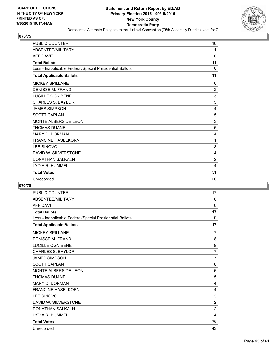

| <b>PUBLIC COUNTER</b>                                    | 10             |
|----------------------------------------------------------|----------------|
| ABSENTEE/MILITARY                                        | 1              |
| <b>AFFIDAVIT</b>                                         | $\mathbf 0$    |
| <b>Total Ballots</b>                                     | 11             |
| Less - Inapplicable Federal/Special Presidential Ballots | $\Omega$       |
| <b>Total Applicable Ballots</b>                          | 11             |
| <b>MICKEY SPILLANE</b>                                   | 6              |
| <b>DENISSE M. FRAND</b>                                  | $\overline{2}$ |
| <b>LUCILLE OGNIBENE</b>                                  | 3              |
| <b>CHARLES S. BAYLOR</b>                                 | 5              |
| <b>JAMES SIMPSON</b>                                     | 4              |
| <b>SCOTT CAPLAN</b>                                      | 5              |
| MONTE ALBERS DE LEON                                     | 3              |
| <b>THOMAS DUANE</b>                                      | 5              |
| <b>MARY D. DORMAN</b>                                    | 4              |
| <b>FRANCINE HASELKORN</b>                                | 1              |
| <b>LEE SINOVOI</b>                                       | 3              |
| DAVID W. SILVERSTONE                                     | 4              |
| <b>DONATHAN SALKALN</b>                                  | $\overline{2}$ |
| LYDIA R. HUMMEL                                          | 4              |
| <b>Total Votes</b>                                       | 51             |
| Unrecorded                                               | 26             |

| <b>PUBLIC COUNTER</b>                                    | 17             |
|----------------------------------------------------------|----------------|
| ABSENTEE/MILITARY                                        | $\mathbf{0}$   |
| <b>AFFIDAVIT</b>                                         | 0              |
| <b>Total Ballots</b>                                     | 17             |
| Less - Inapplicable Federal/Special Presidential Ballots | 0              |
| <b>Total Applicable Ballots</b>                          | 17             |
| <b>MICKEY SPILLANE</b>                                   | $\overline{7}$ |
| <b>DENISSE M. FRAND</b>                                  | 8              |
| LUCILLE OGNIBENE                                         | 9              |
| <b>CHARLES S. BAYLOR</b>                                 | $\overline{7}$ |
| <b>JAMES SIMPSON</b>                                     | $\overline{7}$ |
| <b>SCOTT CAPLAN</b>                                      | 8              |
| MONTE ALBERS DE LEON                                     | 6              |
| <b>THOMAS DUANE</b>                                      | 5              |
| <b>MARY D. DORMAN</b>                                    | 4              |
| <b>FRANCINE HASELKORN</b>                                | 4              |
| <b>LEE SINOVOI</b>                                       | 3              |
| DAVID W. SILVERSTONE                                     | $\overline{2}$ |
| <b>DONATHAN SALKALN</b>                                  | $\overline{2}$ |
| LYDIA R. HUMMEL                                          | 4              |
| <b>Total Votes</b>                                       | 76             |
| Unrecorded                                               | 43             |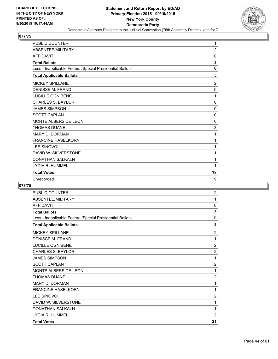

| <b>PUBLIC COUNTER</b>                                    | 1              |
|----------------------------------------------------------|----------------|
| ABSENTEE/MILITARY                                        | $\overline{2}$ |
| <b>AFFIDAVIT</b>                                         | 0              |
| <b>Total Ballots</b>                                     | 3              |
| Less - Inapplicable Federal/Special Presidential Ballots | $\mathbf 0$    |
| <b>Total Applicable Ballots</b>                          | 3              |
| <b>MICKEY SPILLANE</b>                                   | 2              |
| <b>DENISSE M. FRAND</b>                                  | 0              |
| LUCILLE OGNIBENE                                         | 1              |
| <b>CHARLES S. BAYLOR</b>                                 | $\mathbf{0}$   |
| <b>JAMES SIMPSON</b>                                     | $\Omega$       |
| <b>SCOTT CAPLAN</b>                                      | 0              |
| MONTE ALBERS DE LEON                                     | $\Omega$       |
| <b>THOMAS DUANE</b>                                      | 3              |
| <b>MARY D. DORMAN</b>                                    | 1              |
| <b>FRANCINE HASELKORN</b>                                | 1              |
| <b>LEE SINOVOI</b>                                       | 1              |
| DAVID W. SILVERSTONE                                     | 1              |
| <b>DONATHAN SALKALN</b>                                  | 1              |
| LYDIA R. HUMMEL                                          | 1              |
| <b>Total Votes</b>                                       | 12             |
| Unrecorded                                               | 9              |

| <b>PUBLIC COUNTER</b>                                    | $\overline{2}$ |
|----------------------------------------------------------|----------------|
| ABSENTEE/MILITARY                                        | 1              |
| <b>AFFIDAVIT</b>                                         | $\mathbf{0}$   |
| <b>Total Ballots</b>                                     | 3              |
| Less - Inapplicable Federal/Special Presidential Ballots | 0              |
| <b>Total Applicable Ballots</b>                          | 3              |
| <b>MICKEY SPILLANE</b>                                   | $\overline{2}$ |
| <b>DENISSE M. FRAND</b>                                  | 1              |
| LUCILLE OGNIBENE                                         | $\overline{2}$ |
| <b>CHARLES S. BAYLOR</b>                                 | $\overline{2}$ |
| <b>JAMES SIMPSON</b>                                     | 1              |
| <b>SCOTT CAPLAN</b>                                      | $\overline{2}$ |
| <b>MONTE ALBERS DE LEON</b>                              | 1              |
| <b>THOMAS DUANE</b>                                      | $\overline{2}$ |
| <b>MARY D. DORMAN</b>                                    | 1              |
| <b>FRANCINE HASELKORN</b>                                | 1              |
| <b>LEE SINOVOI</b>                                       | $\overline{2}$ |
| DAVID W. SILVERSTONE                                     | 1              |
| <b>DONATHAN SALKALN</b>                                  | 1              |
| LYDIA R. HUMMEL                                          | $\overline{2}$ |
| <b>Total Votes</b>                                       | 21             |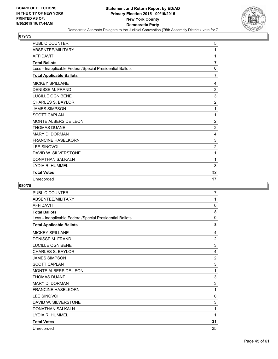

| <b>PUBLIC COUNTER</b>                                    | 5                       |
|----------------------------------------------------------|-------------------------|
| ABSENTEE/MILITARY                                        | 1                       |
| <b>AFFIDAVIT</b>                                         | 1                       |
| <b>Total Ballots</b>                                     | $\overline{\mathbf{r}}$ |
| Less - Inapplicable Federal/Special Presidential Ballots | 0                       |
| <b>Total Applicable Ballots</b>                          | $\overline{7}$          |
| <b>MICKEY SPILLANE</b>                                   | 4                       |
| <b>DENISSE M. FRAND</b>                                  | 3                       |
| <b>LUCILLE OGNIBENE</b>                                  | 3                       |
| <b>CHARLES S. BAYLOR</b>                                 | $\overline{2}$          |
| <b>JAMES SIMPSON</b>                                     | 1                       |
| <b>SCOTT CAPLAN</b>                                      | 1                       |
| MONTE ALBERS DE LEON                                     | $\overline{2}$          |
| <b>THOMAS DUANE</b>                                      | $\overline{2}$          |
| <b>MARY D. DORMAN</b>                                    | 4                       |
| <b>FRANCINE HASELKORN</b>                                | 3                       |
| <b>LEE SINOVOI</b>                                       | $\overline{c}$          |
| DAVID W. SILVERSTONE                                     | 1                       |
| <b>DONATHAN SALKALN</b>                                  | 1                       |
| LYDIA R. HUMMEL                                          | 3                       |
| <b>Total Votes</b>                                       | 32                      |
| Unrecorded                                               | 17                      |

| <b>PUBLIC COUNTER</b>                                    | 7              |
|----------------------------------------------------------|----------------|
| ABSENTEE/MILITARY                                        | 1              |
| <b>AFFIDAVIT</b>                                         | 0              |
| <b>Total Ballots</b>                                     | 8              |
| Less - Inapplicable Federal/Special Presidential Ballots | $\mathbf{0}$   |
| <b>Total Applicable Ballots</b>                          | 8              |
| <b>MICKEY SPILLANE</b>                                   | 4              |
| <b>DENISSE M. FRAND</b>                                  | 2              |
| <b>LUCILLE OGNIBENE</b>                                  | 3              |
| <b>CHARLES S. BAYLOR</b>                                 | 4              |
| <b>JAMES SIMPSON</b>                                     | $\overline{2}$ |
| <b>SCOTT CAPLAN</b>                                      | 3              |
| MONTE ALBERS DE LEON                                     | 1              |
| <b>THOMAS DUANE</b>                                      | 3              |
| <b>MARY D. DORMAN</b>                                    | 3              |
| <b>FRANCINE HASELKORN</b>                                | 1              |
| <b>LEE SINOVOI</b>                                       | 0              |
| DAVID W. SILVERSTONE                                     | 3              |
| <b>DONATHAN SALKALN</b>                                  | 1              |
| LYDIA R. HUMMEL                                          | 1              |
| <b>Total Votes</b>                                       | 31             |
| Unrecorded                                               | 25             |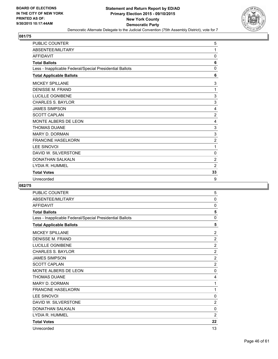

| <b>PUBLIC COUNTER</b>                                    | 5              |
|----------------------------------------------------------|----------------|
| ABSENTEE/MILITARY                                        | 1              |
| <b>AFFIDAVIT</b>                                         | $\mathbf{0}$   |
| <b>Total Ballots</b>                                     | 6              |
| Less - Inapplicable Federal/Special Presidential Ballots | 0              |
| <b>Total Applicable Ballots</b>                          | 6              |
| <b>MICKEY SPILLANE</b>                                   | 3              |
| <b>DENISSE M. FRAND</b>                                  | 1              |
| LUCILLE OGNIBENE                                         | 3              |
| <b>CHARLES S. BAYLOR</b>                                 | 3              |
| <b>JAMES SIMPSON</b>                                     | 4              |
| <b>SCOTT CAPLAN</b>                                      | $\overline{2}$ |
| MONTE ALBERS DE LEON                                     | 4              |
| <b>THOMAS DUANE</b>                                      | 3              |
| <b>MARY D. DORMAN</b>                                    | 3              |
| <b>FRANCINE HASELKORN</b>                                | $\overline{2}$ |
| <b>LEE SINOVOI</b>                                       | 1              |
| DAVID W. SILVERSTONE                                     | 0              |
| <b>DONATHAN SALKALN</b>                                  | $\overline{2}$ |
| LYDIA R. HUMMEL                                          | $\overline{2}$ |
| <b>Total Votes</b>                                       | 33             |
| Unrecorded                                               | 9              |

| <b>PUBLIC COUNTER</b>                                    | 5              |
|----------------------------------------------------------|----------------|
| ABSENTEE/MILITARY                                        | 0              |
| <b>AFFIDAVIT</b>                                         | 0              |
| <b>Total Ballots</b>                                     | 5              |
| Less - Inapplicable Federal/Special Presidential Ballots | $\mathbf{0}$   |
| <b>Total Applicable Ballots</b>                          | 5              |
| <b>MICKEY SPILLANE</b>                                   | $\overline{2}$ |
| DENISSE M. FRAND                                         | $\overline{2}$ |
| LUCILLE OGNIBENE                                         | $\overline{2}$ |
| <b>CHARLES S. BAYLOR</b>                                 | $\overline{2}$ |
| <b>JAMES SIMPSON</b>                                     | $\overline{2}$ |
| <b>SCOTT CAPLAN</b>                                      | $\overline{2}$ |
| MONTE ALBERS DE LEON                                     | 0              |
| <b>THOMAS DUANE</b>                                      | 4              |
| <b>MARY D. DORMAN</b>                                    | 1              |
| <b>FRANCINE HASELKORN</b>                                | 1              |
| <b>LEE SINOVOI</b>                                       | 0              |
| DAVID W. SILVERSTONE                                     | $\overline{2}$ |
| <b>DONATHAN SALKALN</b>                                  | 0              |
| LYDIA R. HUMMEL                                          | $\overline{2}$ |
| <b>Total Votes</b>                                       | 22             |
| Unrecorded                                               | 13             |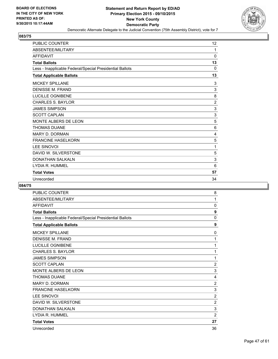

| <b>PUBLIC COUNTER</b>                                    | 12             |
|----------------------------------------------------------|----------------|
| ABSENTEE/MILITARY                                        | 1              |
| <b>AFFIDAVIT</b>                                         | 0              |
| <b>Total Ballots</b>                                     | 13             |
| Less - Inapplicable Federal/Special Presidential Ballots | $\Omega$       |
| <b>Total Applicable Ballots</b>                          | 13             |
| <b>MICKEY SPILLANE</b>                                   | 3              |
| <b>DENISSE M. FRAND</b>                                  | 3              |
| LUCILLE OGNIBENE                                         | 8              |
| <b>CHARLES S. BAYLOR</b>                                 | $\overline{2}$ |
| <b>JAMES SIMPSON</b>                                     | 3              |
| <b>SCOTT CAPLAN</b>                                      | 3              |
| MONTE ALBERS DE LEON                                     | 5              |
| <b>THOMAS DUANE</b>                                      | 6              |
| <b>MARY D. DORMAN</b>                                    | 4              |
| <b>FRANCINE HASELKORN</b>                                | 5              |
| <b>LEE SINOVOI</b>                                       | 1              |
| DAVID W. SILVERSTONE                                     | 5              |
| <b>DONATHAN SALKALN</b>                                  | 3              |
| LYDIA R. HUMMEL                                          | 6              |
| <b>Total Votes</b>                                       | 57             |
| Unrecorded                                               | 34             |

| <b>PUBLIC COUNTER</b>                                    | 8              |
|----------------------------------------------------------|----------------|
| ABSENTEE/MILITARY                                        | 1              |
| <b>AFFIDAVIT</b>                                         | 0              |
| <b>Total Ballots</b>                                     | 9              |
| Less - Inapplicable Federal/Special Presidential Ballots | $\mathbf{0}$   |
| <b>Total Applicable Ballots</b>                          | 9              |
| <b>MICKEY SPILLANE</b>                                   | 0              |
| <b>DENISSE M. FRAND</b>                                  | 1              |
| LUCILLE OGNIBENE                                         | 1              |
| <b>CHARLES S. BAYLOR</b>                                 | 1              |
| <b>JAMES SIMPSON</b>                                     | 1              |
| <b>SCOTT CAPLAN</b>                                      | $\overline{2}$ |
| MONTE ALBERS DE LEON                                     | 3              |
| <b>THOMAS DUANE</b>                                      | 4              |
| <b>MARY D. DORMAN</b>                                    | $\overline{2}$ |
| <b>FRANCINE HASELKORN</b>                                | 3              |
| <b>LEE SINOVOI</b>                                       | $\overline{2}$ |
| DAVID W. SILVERSTONE                                     | $\overline{2}$ |
| <b>DONATHAN SALKALN</b>                                  | 3              |
| LYDIA R. HUMMEL                                          | $\overline{2}$ |
| <b>Total Votes</b>                                       | 27             |
| Unrecorded                                               | 36             |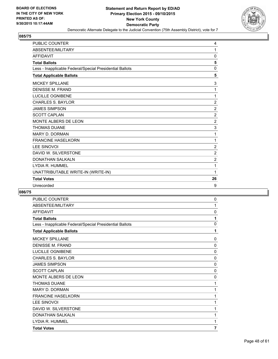

| <b>PUBLIC COUNTER</b>                                    | 4              |
|----------------------------------------------------------|----------------|
| ABSENTEE/MILITARY                                        | 1              |
| <b>AFFIDAVIT</b>                                         | 0              |
| <b>Total Ballots</b>                                     | 5              |
| Less - Inapplicable Federal/Special Presidential Ballots | 0              |
| <b>Total Applicable Ballots</b>                          | 5              |
| <b>MICKEY SPILLANE</b>                                   | 3              |
| <b>DENISSE M. FRAND</b>                                  | 1              |
| <b>LUCILLE OGNIBENE</b>                                  | 1              |
| <b>CHARLES S. BAYLOR</b>                                 | $\overline{2}$ |
| <b>JAMES SIMPSON</b>                                     | $\overline{2}$ |
| <b>SCOTT CAPLAN</b>                                      | $\overline{2}$ |
| MONTE ALBERS DE LEON                                     | $\overline{2}$ |
| <b>THOMAS DUANE</b>                                      | 3              |
| <b>MARY D. DORMAN</b>                                    | 1              |
| <b>FRANCINE HASELKORN</b>                                | 1              |
| <b>LEE SINOVOI</b>                                       | $\overline{2}$ |
| DAVID W. SILVERSTONE                                     | $\overline{2}$ |
| <b>DONATHAN SALKALN</b>                                  | $\overline{2}$ |
| LYDIA R. HUMMEL                                          | 1              |
| UNATTRIBUTABLE WRITE-IN (WRITE-IN)                       | 1              |
| <b>Total Votes</b>                                       | 26             |
| Unrecorded                                               | 9              |

| <b>PUBLIC COUNTER</b>                                    | 0              |
|----------------------------------------------------------|----------------|
| ABSENTEE/MILITARY                                        | 1              |
| <b>AFFIDAVIT</b>                                         | $\mathbf{0}$   |
| <b>Total Ballots</b>                                     | 1              |
| Less - Inapplicable Federal/Special Presidential Ballots | 0              |
| <b>Total Applicable Ballots</b>                          | 1              |
| <b>MICKEY SPILLANE</b>                                   | 0              |
| <b>DENISSE M. FRAND</b>                                  | 0              |
| LUCILLE OGNIBENE                                         | $\mathbf{0}$   |
| <b>CHARLES S. BAYLOR</b>                                 | $\mathbf{0}$   |
| <b>JAMES SIMPSON</b>                                     | 0              |
| <b>SCOTT CAPLAN</b>                                      | 0              |
| MONTE ALBERS DE LEON                                     | 0              |
| <b>THOMAS DUANE</b>                                      | 1              |
| MARY D. DORMAN                                           | 1              |
| <b>FRANCINE HASELKORN</b>                                | 1              |
| <b>LEE SINOVOI</b>                                       | 1              |
| DAVID W. SILVERSTONE                                     | 1              |
| <b>DONATHAN SALKALN</b>                                  | 1              |
| LYDIA R. HUMMEL                                          | 1              |
| <b>Total Votes</b>                                       | $\overline{7}$ |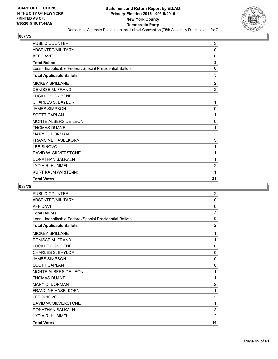

| <b>PUBLIC COUNTER</b>                                    | 3              |
|----------------------------------------------------------|----------------|
| ABSENTEE/MILITARY                                        | 0              |
| <b>AFFIDAVIT</b>                                         | 0              |
| <b>Total Ballots</b>                                     | 3              |
| Less - Inapplicable Federal/Special Presidential Ballots | $\mathbf 0$    |
| <b>Total Applicable Ballots</b>                          | 3              |
| <b>MICKEY SPILLANE</b>                                   | $\overline{2}$ |
| <b>DENISSE M. FRAND</b>                                  | $\overline{2}$ |
| <b>LUCILLE OGNIBENE</b>                                  | $\overline{2}$ |
| <b>CHARLES S. BAYLOR</b>                                 | 1              |
| <b>JAMES SIMPSON</b>                                     | 0              |
| <b>SCOTT CAPLAN</b>                                      | 1              |
| MONTE ALBERS DE LEON                                     | 0              |
| <b>THOMAS DUANE</b>                                      | 1              |
| <b>MARY D. DORMAN</b>                                    | 3              |
| <b>FRANCINE HASELKORN</b>                                | 3              |
| LEE SINOVOI                                              | 1              |
| DAVID W. SILVERSTONE                                     | 1              |
| <b>DONATHAN SALKALN</b>                                  | 1              |
| LYDIA R. HUMMEL                                          | $\overline{c}$ |
| KURT KALM (WRITE-IN)                                     | 1              |
| <b>Total Votes</b>                                       | 21             |

| PUBLIC COUNTER                                           | 2              |
|----------------------------------------------------------|----------------|
| ABSENTEE/MILITARY                                        | 0              |
| <b>AFFIDAVIT</b>                                         | 0              |
| <b>Total Ballots</b>                                     | $\overline{2}$ |
| Less - Inapplicable Federal/Special Presidential Ballots | $\mathbf 0$    |
| <b>Total Applicable Ballots</b>                          | $\mathbf{2}$   |
| <b>MICKEY SPILLANE</b>                                   | 1              |
| <b>DENISSE M. FRAND</b>                                  | 1              |
| LUCILLE OGNIBENE                                         | 0              |
| <b>CHARLES S. BAYLOR</b>                                 | 0              |
| <b>JAMES SIMPSON</b>                                     | 0              |
| <b>SCOTT CAPLAN</b>                                      | 0              |
| <b>MONTE ALBERS DE LEON</b>                              | 1              |
| <b>THOMAS DUANE</b>                                      | 1              |
| MARY D. DORMAN                                           | 2              |
| <b>FRANCINE HASELKORN</b>                                | 1              |
| <b>LEE SINOVOI</b>                                       | $\overline{2}$ |
| DAVID W. SILVERSTONE                                     | 1              |
| <b>DONATHAN SALKALN</b>                                  | $\overline{2}$ |
| LYDIA R. HUMMEL                                          | $\overline{2}$ |
| <b>Total Votes</b>                                       | 14             |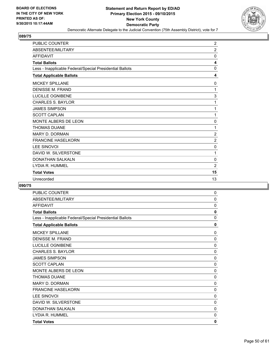

| <b>PUBLIC COUNTER</b>                                    | $\overline{2}$ |
|----------------------------------------------------------|----------------|
| ABSENTEE/MILITARY                                        | $\overline{2}$ |
| <b>AFFIDAVIT</b>                                         | 0              |
| <b>Total Ballots</b>                                     | 4              |
| Less - Inapplicable Federal/Special Presidential Ballots | $\Omega$       |
| <b>Total Applicable Ballots</b>                          | 4              |
| <b>MICKEY SPILLANE</b>                                   | 0              |
| <b>DENISSE M. FRAND</b>                                  | 1              |
| <b>LUCILLE OGNIBENE</b>                                  | 3              |
| <b>CHARLES S. BAYLOR</b>                                 | 1              |
| <b>JAMES SIMPSON</b>                                     | 1              |
| <b>SCOTT CAPLAN</b>                                      | 1              |
| MONTE ALBERS DE LEON                                     | 0              |
| <b>THOMAS DUANE</b>                                      | 1              |
| <b>MARY D. DORMAN</b>                                    | $\overline{2}$ |
| <b>FRANCINE HASELKORN</b>                                | $\overline{2}$ |
| <b>LEE SINOVOI</b>                                       | $\mathbf 0$    |
| DAVID W. SILVERSTONE                                     | 1              |
| <b>DONATHAN SALKALN</b>                                  | 0              |
| LYDIA R. HUMMEL                                          | 2              |
| <b>Total Votes</b>                                       | 15             |
| Unrecorded                                               | 13             |

| <b>PUBLIC COUNTER</b>                                    | 0            |
|----------------------------------------------------------|--------------|
| ABSENTEE/MILITARY                                        | 0            |
| <b>AFFIDAVIT</b>                                         | $\mathbf{0}$ |
| <b>Total Ballots</b>                                     | 0            |
| Less - Inapplicable Federal/Special Presidential Ballots | 0            |
| <b>Total Applicable Ballots</b>                          | $\mathbf{0}$ |
| <b>MICKEY SPILLANE</b>                                   | 0            |
| <b>DENISSE M. FRAND</b>                                  | $\Omega$     |
| LUCILLE OGNIBENE                                         | $\mathbf{0}$ |
| <b>CHARLES S. BAYLOR</b>                                 | 0            |
| <b>JAMES SIMPSON</b>                                     | 0            |
| <b>SCOTT CAPLAN</b>                                      | $\mathbf 0$  |
| <b>MONTE ALBERS DE LEON</b>                              | 0            |
| <b>THOMAS DUANE</b>                                      | 0            |
| <b>MARY D. DORMAN</b>                                    | 0            |
| <b>FRANCINE HASELKORN</b>                                | 0            |
| <b>LEE SINOVOI</b>                                       | 0            |
| DAVID W. SILVERSTONE                                     | 0            |
| <b>DONATHAN SALKALN</b>                                  | 0            |
| LYDIA R. HUMMEL                                          | 0            |
| <b>Total Votes</b>                                       | 0            |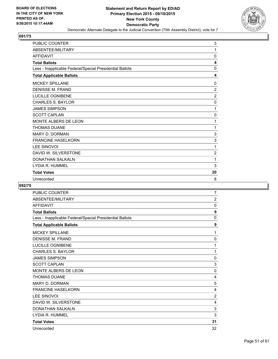

| <b>PUBLIC COUNTER</b>                                    | 3              |
|----------------------------------------------------------|----------------|
| ABSENTEE/MILITARY                                        | 1              |
| <b>AFFIDAVIT</b>                                         | $\mathbf 0$    |
| <b>Total Ballots</b>                                     | 4              |
| Less - Inapplicable Federal/Special Presidential Ballots | $\mathbf{0}$   |
| <b>Total Applicable Ballots</b>                          | 4              |
| <b>MICKEY SPILLANE</b>                                   | 0              |
| <b>DENISSE M. FRAND</b>                                  | $\overline{2}$ |
| LUCILLE OGNIBENE                                         | $\overline{2}$ |
| <b>CHARLES S. BAYLOR</b>                                 | 0              |
| <b>JAMES SIMPSON</b>                                     | 1              |
| <b>SCOTT CAPLAN</b>                                      | 0              |
| MONTE ALBERS DE LEON                                     | 1              |
| <b>THOMAS DUANE</b>                                      | 1              |
| <b>MARY D. DORMAN</b>                                    | 3              |
| <b>FRANCINE HASELKORN</b>                                | 3              |
| <b>LEE SINOVOI</b>                                       | 1              |
| DAVID W. SILVERSTONE                                     | $\overline{c}$ |
| <b>DONATHAN SALKALN</b>                                  | 1              |
| LYDIA R. HUMMEL                                          | 3              |
| <b>Total Votes</b>                                       | 20             |
| Unrecorded                                               | 8              |

| <b>PUBLIC COUNTER</b>                                    | 7              |
|----------------------------------------------------------|----------------|
| ABSENTEE/MILITARY                                        | $\overline{2}$ |
| <b>AFFIDAVIT</b>                                         | $\Omega$       |
| <b>Total Ballots</b>                                     | 9              |
| Less - Inapplicable Federal/Special Presidential Ballots | $\Omega$       |
| <b>Total Applicable Ballots</b>                          | 9              |
| <b>MICKEY SPILLANE</b>                                   | 1              |
| <b>DENISSE M. FRAND</b>                                  | 0              |
| <b>LUCILLE OGNIBENE</b>                                  | 1              |
| <b>CHARLES S. BAYLOR</b>                                 | 1              |
| <b>JAMES SIMPSON</b>                                     | 0              |
| <b>SCOTT CAPLAN</b>                                      | 3              |
| MONTE ALBERS DE LEON                                     | 0              |
| <b>THOMAS DUANE</b>                                      | $\overline{4}$ |
| <b>MARY D. DORMAN</b>                                    | 5              |
| <b>FRANCINE HASELKORN</b>                                | 4              |
| <b>LEE SINOVOI</b>                                       | $\overline{2}$ |
| DAVID W. SILVERSTONE                                     | 4              |
| <b>DONATHAN SALKALN</b>                                  | 3              |
| LYDIA R. HUMMEL                                          | 3              |
| <b>Total Votes</b>                                       | 31             |
| Unrecorded                                               | 32             |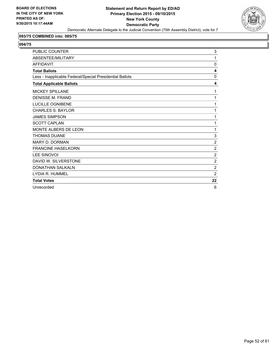

## **093/75 COMBINED into: 085/75**

| <b>PUBLIC COUNTER</b>                                    | 3              |
|----------------------------------------------------------|----------------|
| ABSENTEE/MILITARY                                        | 1              |
| <b>AFFIDAVIT</b>                                         | $\mathbf{0}$   |
| <b>Total Ballots</b>                                     | 4              |
| Less - Inapplicable Federal/Special Presidential Ballots | 0              |
| <b>Total Applicable Ballots</b>                          | 4              |
| <b>MICKEY SPILLANE</b>                                   | 1              |
| <b>DENISSE M. FRAND</b>                                  | 1              |
| <b>LUCILLE OGNIBENE</b>                                  | 1              |
| <b>CHARLES S. BAYLOR</b>                                 | 1              |
| <b>JAMES SIMPSON</b>                                     | 1              |
| <b>SCOTT CAPLAN</b>                                      | 1              |
| MONTE ALBERS DE LEON                                     | 1              |
| <b>THOMAS DUANE</b>                                      | 3              |
| <b>MARY D. DORMAN</b>                                    | $\overline{2}$ |
| <b>FRANCINE HASELKORN</b>                                | $\overline{2}$ |
| <b>LEE SINOVOI</b>                                       | $\overline{2}$ |
| DAVID W. SILVERSTONE                                     | $\overline{2}$ |
| <b>DONATHAN SALKALN</b>                                  | $\overline{2}$ |
| LYDIA R. HUMMEL                                          | $\overline{2}$ |
| <b>Total Votes</b>                                       | 22             |
| Unrecorded                                               | 6              |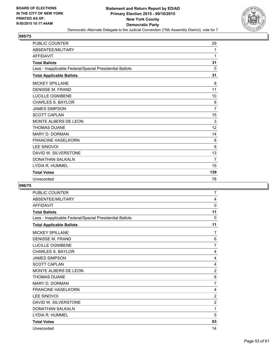

| <b>PUBLIC COUNTER</b>                                    | 29             |
|----------------------------------------------------------|----------------|
| ABSENTEE/MILITARY                                        | 1              |
| <b>AFFIDAVIT</b>                                         | 1              |
| <b>Total Ballots</b>                                     | 31             |
| Less - Inapplicable Federal/Special Presidential Ballots | $\Omega$       |
| <b>Total Applicable Ballots</b>                          | 31             |
| <b>MICKEY SPILLANE</b>                                   | 8              |
| <b>DENISSE M. FRAND</b>                                  | 11             |
| LUCILLE OGNIBENE                                         | 10             |
| <b>CHARLES S. BAYLOR</b>                                 | 8              |
| <b>JAMES SIMPSON</b>                                     | $\overline{7}$ |
| <b>SCOTT CAPLAN</b>                                      | 15             |
| MONTE ALBERS DE LEON                                     | 3              |
| <b>THOMAS DUANE</b>                                      | 12             |
| <b>MARY D. DORMAN</b>                                    | 14             |
| <b>FRANCINE HASELKORN</b>                                | 8              |
| <b>LEE SINOVOI</b>                                       | 8              |
| DAVID W. SILVERSTONE                                     | 13             |
| <b>DONATHAN SALKALN</b>                                  | $\overline{7}$ |
| LYDIA R. HUMMEL                                          | 15             |
| <b>Total Votes</b>                                       | 139            |
| Unrecorded                                               | 78             |

| <b>PUBLIC COUNTER</b>                                    | 7              |
|----------------------------------------------------------|----------------|
| ABSENTEE/MILITARY                                        | 4              |
| <b>AFFIDAVIT</b>                                         | 0              |
| <b>Total Ballots</b>                                     | 11             |
| Less - Inapplicable Federal/Special Presidential Ballots | $\mathbf{0}$   |
| <b>Total Applicable Ballots</b>                          | 11             |
| <b>MICKEY SPILLANE</b>                                   | $\overline{7}$ |
| <b>DENISSE M. FRAND</b>                                  | 6              |
| LUCILLE OGNIBENE                                         | $\overline{7}$ |
| <b>CHARLES S. BAYLOR</b>                                 | 4              |
| <b>JAMES SIMPSON</b>                                     | 4              |
| <b>SCOTT CAPLAN</b>                                      | 4              |
| MONTE ALBERS DE LEON                                     | $\overline{2}$ |
| <b>THOMAS DUANE</b>                                      | 8              |
| <b>MARY D. DORMAN</b>                                    | $\overline{7}$ |
| <b>FRANCINE HASELKORN</b>                                | 4              |
| <b>LEE SINOVOI</b>                                       | $\overline{2}$ |
| DAVID W. SILVERSTONE                                     | $\overline{2}$ |
| <b>DONATHAN SALKALN</b>                                  | 1              |
| LYDIA R. HUMMEL                                          | 5              |
| <b>Total Votes</b>                                       | 63             |
| Unrecorded                                               | 14             |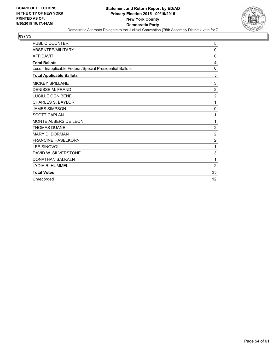

| <b>PUBLIC COUNTER</b>                                    | 5              |
|----------------------------------------------------------|----------------|
| ABSENTEE/MILITARY                                        | $\Omega$       |
| <b>AFFIDAVIT</b>                                         | $\Omega$       |
| <b>Total Ballots</b>                                     | 5              |
| Less - Inapplicable Federal/Special Presidential Ballots | 0              |
| <b>Total Applicable Ballots</b>                          | 5              |
| <b>MICKEY SPILLANE</b>                                   | 3              |
| <b>DENISSE M. FRAND</b>                                  | $\overline{2}$ |
| LUCILLE OGNIBENE                                         | $\overline{2}$ |
| <b>CHARLES S. BAYLOR</b>                                 | 1              |
| <b>JAMES SIMPSON</b>                                     | 0              |
| <b>SCOTT CAPLAN</b>                                      | 1              |
| <b>MONTE ALBERS DE LEON</b>                              | 1              |
| <b>THOMAS DUANE</b>                                      | $\overline{2}$ |
| MARY D. DORMAN                                           | $\overline{2}$ |
| <b>FRANCINE HASELKORN</b>                                | $\overline{c}$ |
| <b>LEE SINOVOI</b>                                       | 1              |
| DAVID W. SILVERSTONE                                     | 3              |
| <b>DONATHAN SALKALN</b>                                  | 1              |
| LYDIA R. HUMMEL                                          | 2              |
| <b>Total Votes</b>                                       | 23             |
| Unrecorded                                               | 12             |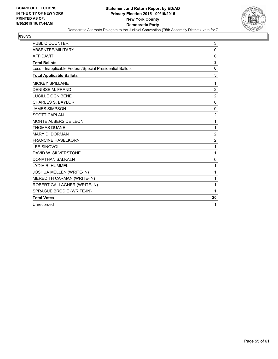

| <b>PUBLIC COUNTER</b>                                    | 3              |
|----------------------------------------------------------|----------------|
| ABSENTEE/MILITARY                                        | 0              |
| <b>AFFIDAVIT</b>                                         | 0              |
| <b>Total Ballots</b>                                     | 3              |
| Less - Inapplicable Federal/Special Presidential Ballots | $\mathbf{0}$   |
| <b>Total Applicable Ballots</b>                          | 3              |
| <b>MICKEY SPILLANE</b>                                   | 1              |
| <b>DENISSE M. FRAND</b>                                  | 2              |
| <b>LUCILLE OGNIBENE</b>                                  | $\overline{2}$ |
| <b>CHARLES S. BAYLOR</b>                                 | $\Omega$       |
| <b>JAMES SIMPSON</b>                                     | $\mathbf{0}$   |
| <b>SCOTT CAPLAN</b>                                      | $\overline{2}$ |
| MONTE ALBERS DE LEON                                     | 1              |
| <b>THOMAS DUANE</b>                                      | 1              |
| <b>MARY D. DORMAN</b>                                    | $\overline{c}$ |
| <b>FRANCINE HASELKORN</b>                                | $\overline{2}$ |
| <b>LEE SINOVOI</b>                                       | 1              |
| DAVID W. SILVERSTONE                                     | 1              |
| <b>DONATHAN SALKALN</b>                                  | $\mathbf{0}$   |
| LYDIA R. HUMMEL                                          | 1              |
| JOSHUA MELLEN (WRITE-IN)                                 | 1              |
| MEREDITH CARMAN (WRITE-IN)                               | 1              |
| ROBERT GALLAGHER (WRITE-IN)                              | 1              |
| SPRAGUE BRODIE (WRITE-IN)                                | 1              |
| <b>Total Votes</b>                                       | 20             |
| Unrecorded                                               | 1              |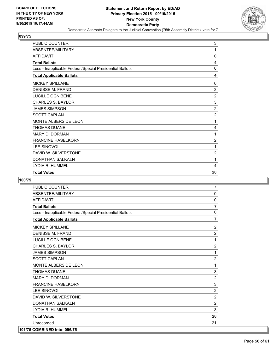

| PUBLIC COUNTER                                           | 3              |
|----------------------------------------------------------|----------------|
| ABSENTEE/MILITARY                                        | 1              |
| <b>AFFIDAVIT</b>                                         | 0              |
| <b>Total Ballots</b>                                     | 4              |
| Less - Inapplicable Federal/Special Presidential Ballots | 0              |
| <b>Total Applicable Ballots</b>                          | 4              |
| <b>MICKEY SPILLANE</b>                                   | 0              |
| DENISSE M. FRAND                                         | 3              |
| LUCILLE OGNIBENE                                         | $\overline{2}$ |
| <b>CHARLES S. BAYLOR</b>                                 | 3              |
| <b>JAMES SIMPSON</b>                                     | $\overline{2}$ |
| <b>SCOTT CAPLAN</b>                                      | $\overline{2}$ |
| MONTE ALBERS DE LEON                                     | 1              |
| <b>THOMAS DUANE</b>                                      | 4              |
| MARY D. DORMAN                                           | 1              |
| <b>FRANCINE HASELKORN</b>                                | 2              |
| <b>LEE SINOVOI</b>                                       | 1              |
| DAVID W. SILVERSTONE                                     | 2              |
| <b>DONATHAN SALKALN</b>                                  | 1              |
| LYDIA R. HUMMEL                                          | 4              |
| <b>Total Votes</b>                                       | 28             |

| <b>PUBLIC COUNTER</b>                                    | $\overline{7}$ |
|----------------------------------------------------------|----------------|
| ABSENTEE/MILITARY                                        | $\mathbf 0$    |
| <b>AFFIDAVIT</b>                                         | 0              |
| <b>Total Ballots</b>                                     | $\overline{7}$ |
| Less - Inapplicable Federal/Special Presidential Ballots | 0              |
| <b>Total Applicable Ballots</b>                          | $\overline{7}$ |
| <b>MICKEY SPILLANE</b>                                   | $\overline{2}$ |
| <b>DENISSE M. FRAND</b>                                  | $\overline{2}$ |
| <b>LUCILLE OGNIBENE</b>                                  | 1              |
| <b>CHARLES S. BAYLOR</b>                                 | $\overline{2}$ |
| <b>JAMES SIMPSON</b>                                     | 1              |
| <b>SCOTT CAPLAN</b>                                      | $\overline{2}$ |
| MONTE ALBERS DE LEON                                     | 1              |
| <b>THOMAS DUANE</b>                                      | 3              |
| <b>MARY D. DORMAN</b>                                    | $\overline{2}$ |
| <b>FRANCINE HASELKORN</b>                                | 3              |
| <b>LEE SINOVOI</b>                                       | $\overline{2}$ |
| DAVID W. SILVERSTONE                                     | $\overline{2}$ |
| DONATHAN SALKALN                                         | 2              |
| LYDIA R. HUMMEL                                          | 3              |
| <b>Total Votes</b>                                       | 28             |
| Unrecorded                                               | 21             |
| 101/75 COMBINED into: 096/75                             |                |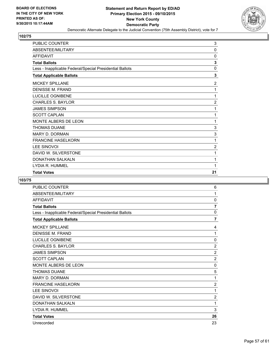

| PUBLIC COUNTER                                           | 3              |
|----------------------------------------------------------|----------------|
| ABSENTEE/MILITARY                                        | 0              |
| AFFIDAVIT                                                | 0              |
| <b>Total Ballots</b>                                     | 3              |
| Less - Inapplicable Federal/Special Presidential Ballots | 0              |
| <b>Total Applicable Ballots</b>                          | 3              |
| <b>MICKEY SPILLANE</b>                                   | 2              |
| <b>DENISSE M. FRAND</b>                                  | 1              |
| LUCILLE OGNIBENE                                         | 1              |
| <b>CHARLES S. BAYLOR</b>                                 | $\overline{2}$ |
| <b>JAMES SIMPSON</b>                                     | 1              |
| <b>SCOTT CAPLAN</b>                                      | 1              |
| MONTE ALBERS DE LEON                                     | 1              |
| <b>THOMAS DUANE</b>                                      | 3              |
| <b>MARY D. DORMAN</b>                                    | 3              |
| <b>FRANCINE HASELKORN</b>                                | 1              |
| <b>LEE SINOVOI</b>                                       | $\overline{c}$ |
| DAVID W. SILVERSTONE                                     | 1              |
| DONATHAN SALKALN                                         | 1              |
| LYDIA R. HUMMEL                                          | 1              |
| <b>Total Votes</b>                                       | 21             |

| <b>PUBLIC COUNTER</b>                                    | 6              |
|----------------------------------------------------------|----------------|
| ABSENTEE/MILITARY                                        | 1              |
| <b>AFFIDAVIT</b>                                         | 0              |
| <b>Total Ballots</b>                                     | 7              |
| Less - Inapplicable Federal/Special Presidential Ballots | $\mathbf 0$    |
| <b>Total Applicable Ballots</b>                          | $\overline{7}$ |
| <b>MICKEY SPILLANE</b>                                   | 4              |
| <b>DENISSE M. FRAND</b>                                  | 1              |
| LUCILLE OGNIBENE                                         | $\mathbf 0$    |
| <b>CHARLES S. BAYLOR</b>                                 | $\overline{2}$ |
| <b>JAMES SIMPSON</b>                                     | $\overline{2}$ |
| <b>SCOTT CAPLAN</b>                                      | $\overline{2}$ |
| <b>MONTE ALBERS DE LEON</b>                              | 0              |
| <b>THOMAS DUANE</b>                                      | 5              |
| <b>MARY D. DORMAN</b>                                    | 1              |
| <b>FRANCINE HASELKORN</b>                                | $\overline{2}$ |
| <b>LEE SINOVOI</b>                                       | 1              |
| DAVID W. SILVERSTONE                                     | $\overline{2}$ |
| <b>DONATHAN SALKALN</b>                                  | 1              |
| LYDIA R. HUMMEL                                          | 3              |
| <b>Total Votes</b>                                       | 26             |
| Unrecorded                                               | 23             |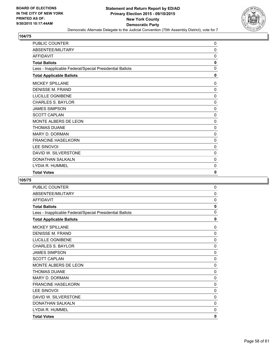

| <b>PUBLIC COUNTER</b>                                    | 0           |
|----------------------------------------------------------|-------------|
| ABSENTEE/MILITARY                                        | $\mathbf 0$ |
| <b>AFFIDAVIT</b>                                         | 0           |
| <b>Total Ballots</b>                                     | 0           |
| Less - Inapplicable Federal/Special Presidential Ballots | 0           |
| <b>Total Applicable Ballots</b>                          | 0           |
| <b>MICKEY SPILLANE</b>                                   | 0           |
| <b>DENISSE M. FRAND</b>                                  | 0           |
| LUCILLE OGNIBENE                                         | $\mathbf 0$ |
| <b>CHARLES S. BAYLOR</b>                                 | 0           |
| <b>JAMES SIMPSON</b>                                     | 0           |
| <b>SCOTT CAPLAN</b>                                      | 0           |
| <b>MONTE ALBERS DE LEON</b>                              | 0           |
| <b>THOMAS DUANE</b>                                      | 0           |
| <b>MARY D. DORMAN</b>                                    | $\mathbf 0$ |
| <b>FRANCINE HASELKORN</b>                                | $\mathbf 0$ |
| <b>LEE SINOVOI</b>                                       | 0           |
| DAVID W. SILVERSTONE                                     | 0           |
| <b>DONATHAN SALKALN</b>                                  | 0           |
| LYDIA R. HUMMEL                                          | 0           |
| <b>Total Votes</b>                                       | 0           |

| PUBLIC COUNTER                                           | $\pmb{0}$   |
|----------------------------------------------------------|-------------|
| ABSENTEE/MILITARY                                        | 0           |
| <b>AFFIDAVIT</b>                                         | 0           |
| <b>Total Ballots</b>                                     | 0           |
| Less - Inapplicable Federal/Special Presidential Ballots | 0           |
| <b>Total Applicable Ballots</b>                          | 0           |
| <b>MICKEY SPILLANE</b>                                   | 0           |
| <b>DENISSE M. FRAND</b>                                  | $\mathbf 0$ |
| <b>LUCILLE OGNIBENE</b>                                  | 0           |
| <b>CHARLES S. BAYLOR</b>                                 | 0           |
| <b>JAMES SIMPSON</b>                                     | 0           |
| <b>SCOTT CAPLAN</b>                                      | $\mathbf 0$ |
| <b>MONTE ALBERS DE LEON</b>                              | 0           |
| <b>THOMAS DUANE</b>                                      | 0           |
| MARY D. DORMAN                                           | 0           |
| <b>FRANCINE HASELKORN</b>                                | 0           |
| <b>LEE SINOVOI</b>                                       | 0           |
| DAVID W. SILVERSTONE                                     | 0           |
| <b>DONATHAN SALKALN</b>                                  | 0           |
| LYDIA R. HUMMEL                                          | 0           |
| <b>Total Votes</b>                                       | 0           |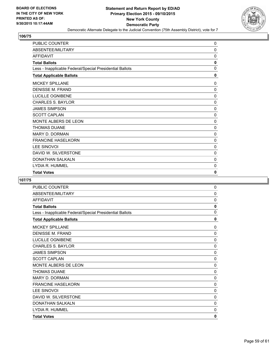

| <b>PUBLIC COUNTER</b>                                    | 0           |
|----------------------------------------------------------|-------------|
| ABSENTEE/MILITARY                                        | 0           |
| <b>AFFIDAVIT</b>                                         | 0           |
| <b>Total Ballots</b>                                     | 0           |
| Less - Inapplicable Federal/Special Presidential Ballots | $\mathbf 0$ |
| <b>Total Applicable Ballots</b>                          | 0           |
| <b>MICKEY SPILLANE</b>                                   | 0           |
| <b>DENISSE M. FRAND</b>                                  | 0           |
| LUCILLE OGNIBENE                                         | 0           |
| <b>CHARLES S. BAYLOR</b>                                 | 0           |
| <b>JAMES SIMPSON</b>                                     | 0           |
| <b>SCOTT CAPLAN</b>                                      | 0           |
| <b>MONTE ALBERS DE LEON</b>                              | 0           |
| <b>THOMAS DUANE</b>                                      | 0           |
| <b>MARY D. DORMAN</b>                                    | 0           |
| <b>FRANCINE HASELKORN</b>                                | 0           |
| <b>LEE SINOVOI</b>                                       | 0           |
| DAVID W. SILVERSTONE                                     | 0           |
| <b>DONATHAN SALKALN</b>                                  | 0           |
| LYDIA R. HUMMEL                                          | 0           |
| <b>Total Votes</b>                                       | 0           |

| PUBLIC COUNTER                                           | $\pmb{0}$   |
|----------------------------------------------------------|-------------|
| ABSENTEE/MILITARY                                        | 0           |
| <b>AFFIDAVIT</b>                                         | 0           |
| <b>Total Ballots</b>                                     | 0           |
| Less - Inapplicable Federal/Special Presidential Ballots | 0           |
| <b>Total Applicable Ballots</b>                          | 0           |
| <b>MICKEY SPILLANE</b>                                   | 0           |
| <b>DENISSE M. FRAND</b>                                  | $\mathbf 0$ |
| <b>LUCILLE OGNIBENE</b>                                  | 0           |
| <b>CHARLES S. BAYLOR</b>                                 | 0           |
| <b>JAMES SIMPSON</b>                                     | 0           |
| <b>SCOTT CAPLAN</b>                                      | $\mathbf 0$ |
| <b>MONTE ALBERS DE LEON</b>                              | 0           |
| <b>THOMAS DUANE</b>                                      | 0           |
| MARY D. DORMAN                                           | 0           |
| <b>FRANCINE HASELKORN</b>                                | 0           |
| <b>LEE SINOVOI</b>                                       | 0           |
| DAVID W. SILVERSTONE                                     | 0           |
| <b>DONATHAN SALKALN</b>                                  | 0           |
| LYDIA R. HUMMEL                                          | 0           |
| <b>Total Votes</b>                                       | 0           |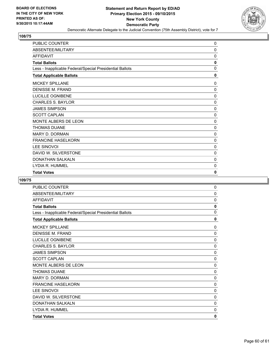

| PUBLIC COUNTER                                           | 0        |
|----------------------------------------------------------|----------|
| ABSENTEE/MILITARY                                        | 0        |
| <b>AFFIDAVIT</b>                                         | 0        |
| <b>Total Ballots</b>                                     | 0        |
| Less - Inapplicable Federal/Special Presidential Ballots | 0        |
| <b>Total Applicable Ballots</b>                          | 0        |
| <b>MICKEY SPILLANE</b>                                   | 0        |
| <b>DENISSE M. FRAND</b>                                  | 0        |
| LUCILLE OGNIBENE                                         | $\Omega$ |
| <b>CHARLES S. BAYLOR</b>                                 | 0        |
| <b>JAMES SIMPSON</b>                                     | 0        |
| <b>SCOTT CAPLAN</b>                                      | 0        |
| MONTE ALBERS DE LEON                                     | $\Omega$ |
| <b>THOMAS DUANE</b>                                      | 0        |
| <b>MARY D. DORMAN</b>                                    | 0        |
| <b>FRANCINE HASELKORN</b>                                | 0        |
| <b>LEE SINOVOI</b>                                       | $\Omega$ |
| DAVID W. SILVERSTONE                                     | 0        |
| <b>DONATHAN SALKALN</b>                                  | 0        |
| LYDIA R. HUMMEL                                          | 0        |
| <b>Total Votes</b>                                       | 0        |

| PUBLIC COUNTER                                           | $\pmb{0}$   |
|----------------------------------------------------------|-------------|
| ABSENTEE/MILITARY                                        | 0           |
| <b>AFFIDAVIT</b>                                         | 0           |
| <b>Total Ballots</b>                                     | 0           |
| Less - Inapplicable Federal/Special Presidential Ballots | 0           |
| <b>Total Applicable Ballots</b>                          | 0           |
| <b>MICKEY SPILLANE</b>                                   | 0           |
| <b>DENISSE M. FRAND</b>                                  | $\mathbf 0$ |
| <b>LUCILLE OGNIBENE</b>                                  | 0           |
| <b>CHARLES S. BAYLOR</b>                                 | 0           |
| <b>JAMES SIMPSON</b>                                     | 0           |
| <b>SCOTT CAPLAN</b>                                      | $\mathbf 0$ |
| <b>MONTE ALBERS DE LEON</b>                              | 0           |
| <b>THOMAS DUANE</b>                                      | 0           |
| MARY D. DORMAN                                           | 0           |
| <b>FRANCINE HASELKORN</b>                                | 0           |
| <b>LEE SINOVOI</b>                                       | 0           |
| DAVID W. SILVERSTONE                                     | 0           |
| <b>DONATHAN SALKALN</b>                                  | 0           |
| LYDIA R. HUMMEL                                          | 0           |
| <b>Total Votes</b>                                       | 0           |